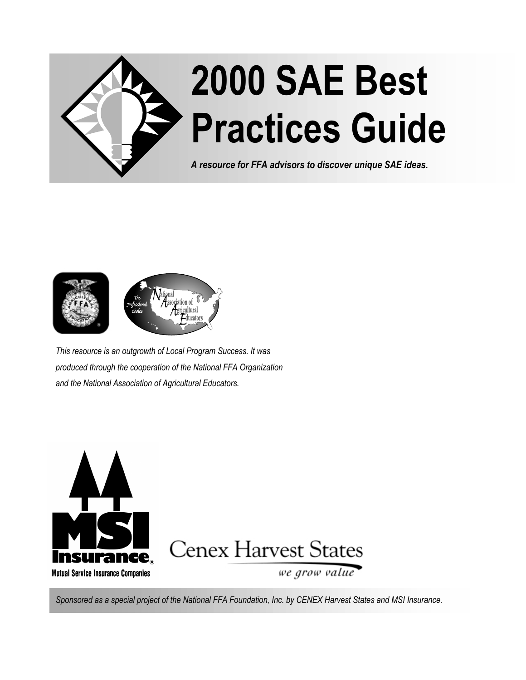



*This resource is an outgrowth of Local Program Success. It was produced through the cooperation of the National FFA Organization and the National Association of Agricultural Educators.*



*Sponsored as a special project of the National FFA Foundation, Inc. by CENEX Harvest States and MSI Insurance.*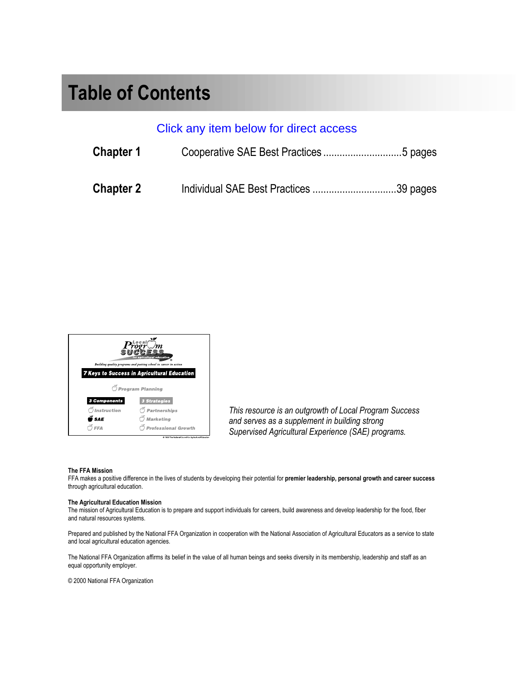### **Table of Contents**

### Click any item below for direct access

| <b>Chapter 1</b> |  |
|------------------|--|
| <b>Chapter 2</b> |  |

|                    | for agricultural education                                       |
|--------------------|------------------------------------------------------------------|
|                    | Building quality programs and putting school to career in action |
|                    | <b>7 Keys to Success in Agricultural Education</b>               |
|                    | O Program Planning                                               |
| 3 Components       | <b>3 Strategies</b>                                              |
| <i>Instruction</i> | Partnerships                                                     |
| <b>SAE</b>         | <b>Marketing</b>                                                 |
| FFA                | <b>Professional Growth</b>                                       |
|                    | @ 1999 The National Council for Agricultural Educatio            |

*This resource is an outgrowth of Local Program Success and serves as a supplement in building strong Supervised Agricultural Experience (SAE) programs.*

#### **The FFA Mission**

FFA makes a positive difference in the lives of students by developing their potential for **premier leadership, personal growth and career success** through agricultural education.

#### **The Agricultural Education Mission**

The mission of Agricultural Education is to prepare and support individuals for careers, build awareness and develop leadership for the food, fiber and natural resources systems.

Prepared and published by the National FFA Organization in cooperation with the National Association of Agricultural Educators as a service to state and local agricultural education agencies.

The National FFA Organization affirms its belief in the value of all human beings and seeks diversity in its membership, leadership and staff as an equal opportunity employer.

© 2000 National FFA Organization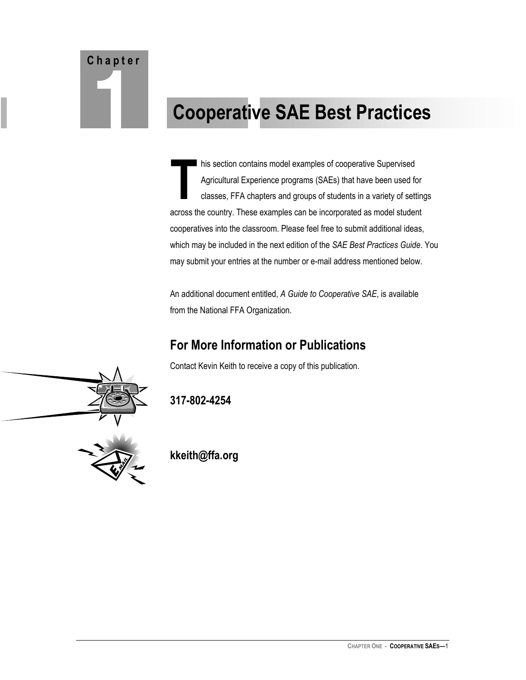# <span id="page-2-0"></span>**C h a p t e r**

## **1 Cooperative SAE Best Practices**

his section contains model examples of cooperative Supervised Agricultural Experience programs (SAEs) that have been used for classes, FFA chapters and groups of students in a variety of settings across the country. These examples can be incorporated as model student cooperatives into the classroom. Please feel free to submit additional ideas, which may be included in the next edition of the *SAE Best Practices Guide*. You may submit your entries at the number or e-mail address mentioned below. **T**

An additional document entitled, *A Guide to Cooperative SAE*, is available from the National FFA Organization.

### **For More Information or Publications**

Contact Kevin Keith to receive a copy of this publication.



**317-802-4254**

**kkeith@ffa.org**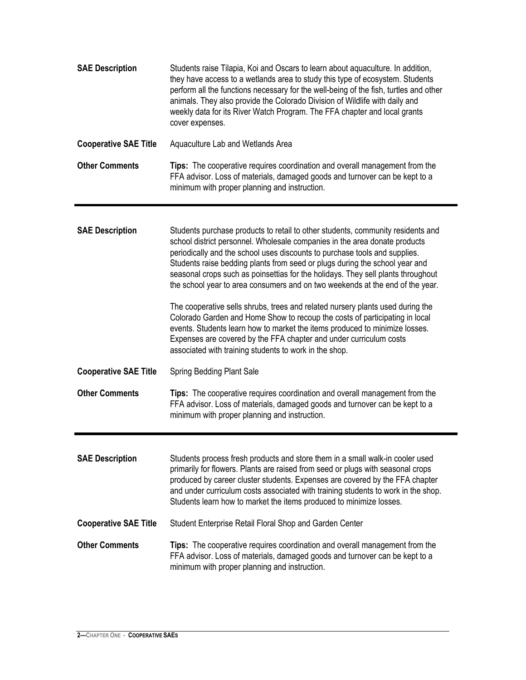| <b>SAE Description</b>       | Students raise Tilapia, Koi and Oscars to learn about aquaculture. In addition,<br>they have access to a wetlands area to study this type of ecosystem. Students<br>perform all the functions necessary for the well-being of the fish, turtles and other<br>animals. They also provide the Colorado Division of Wildlife with daily and<br>weekly data for its River Watch Program. The FFA chapter and local grants<br>cover expenses.                                                        |
|------------------------------|-------------------------------------------------------------------------------------------------------------------------------------------------------------------------------------------------------------------------------------------------------------------------------------------------------------------------------------------------------------------------------------------------------------------------------------------------------------------------------------------------|
| <b>Cooperative SAE Title</b> | Aquaculture Lab and Wetlands Area                                                                                                                                                                                                                                                                                                                                                                                                                                                               |
| <b>Other Comments</b>        | <b>Tips:</b> The cooperative requires coordination and overall management from the<br>FFA advisor. Loss of materials, damaged goods and turnover can be kept to a<br>minimum with proper planning and instruction.                                                                                                                                                                                                                                                                              |
| <b>SAE Description</b>       | Students purchase products to retail to other students, community residents and<br>school district personnel. Wholesale companies in the area donate products<br>periodically and the school uses discounts to purchase tools and supplies.<br>Students raise bedding plants from seed or plugs during the school year and<br>seasonal crops such as poinsettias for the holidays. They sell plants throughout<br>the school year to area consumers and on two weekends at the end of the year. |
|                              | The cooperative sells shrubs, trees and related nursery plants used during the<br>Colorado Garden and Home Show to recoup the costs of participating in local<br>events. Students learn how to market the items produced to minimize losses.<br>Expenses are covered by the FFA chapter and under curriculum costs<br>associated with training students to work in the shop.                                                                                                                    |
| <b>Cooperative SAE Title</b> | Spring Bedding Plant Sale                                                                                                                                                                                                                                                                                                                                                                                                                                                                       |
| <b>Other Comments</b>        | <b>Tips:</b> The cooperative requires coordination and overall management from the<br>FFA advisor. Loss of materials, damaged goods and turnover can be kept to a<br>minimum with proper planning and instruction.                                                                                                                                                                                                                                                                              |
| <b>SAE Description</b>       | Students process fresh products and store them in a small walk-in cooler used<br>primarily for flowers. Plants are raised from seed or plugs with seasonal crops<br>produced by career cluster students. Expenses are covered by the FFA chapter<br>and under curriculum costs associated with training students to work in the shop.<br>Students learn how to market the items produced to minimize losses.                                                                                    |
| <b>Cooperative SAE Title</b> | Student Enterprise Retail Floral Shop and Garden Center                                                                                                                                                                                                                                                                                                                                                                                                                                         |
| <b>Other Comments</b>        | <b>Tips:</b> The cooperative requires coordination and overall management from the<br>FFA advisor. Loss of materials, damaged goods and turnover can be kept to a<br>minimum with proper planning and instruction.                                                                                                                                                                                                                                                                              |

Ŧ.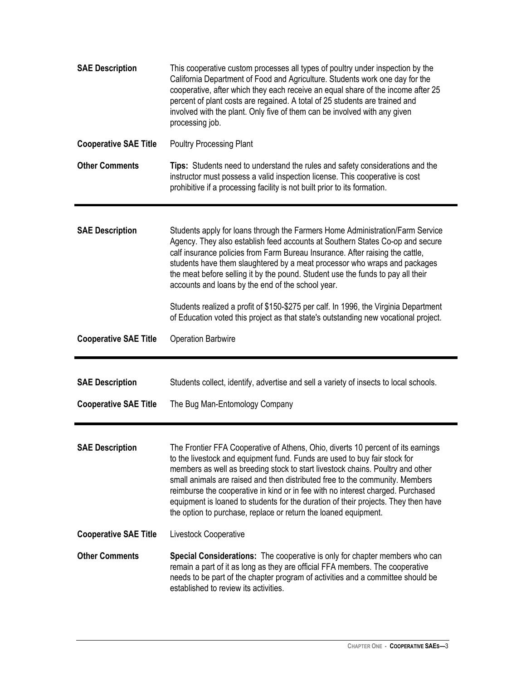| <b>SAE Description</b>       | This cooperative custom processes all types of poultry under inspection by the<br>California Department of Food and Agriculture. Students work one day for the<br>cooperative, after which they each receive an equal share of the income after 25<br>percent of plant costs are regained. A total of 25 students are trained and<br>involved with the plant. Only five of them can be involved with any given<br>processing job.                                                                                                                                           |
|------------------------------|-----------------------------------------------------------------------------------------------------------------------------------------------------------------------------------------------------------------------------------------------------------------------------------------------------------------------------------------------------------------------------------------------------------------------------------------------------------------------------------------------------------------------------------------------------------------------------|
| <b>Cooperative SAE Title</b> | <b>Poultry Processing Plant</b>                                                                                                                                                                                                                                                                                                                                                                                                                                                                                                                                             |
| <b>Other Comments</b>        | Tips: Students need to understand the rules and safety considerations and the<br>instructor must possess a valid inspection license. This cooperative is cost<br>prohibitive if a processing facility is not built prior to its formation.                                                                                                                                                                                                                                                                                                                                  |
| <b>SAE Description</b>       | Students apply for loans through the Farmers Home Administration/Farm Service<br>Agency. They also establish feed accounts at Southern States Co-op and secure<br>calf insurance policies from Farm Bureau Insurance. After raising the cattle,<br>students have them slaughtered by a meat processor who wraps and packages<br>the meat before selling it by the pound. Student use the funds to pay all their<br>accounts and loans by the end of the school year.                                                                                                        |
|                              | Students realized a profit of \$150-\$275 per calf. In 1996, the Virginia Department<br>of Education voted this project as that state's outstanding new vocational project.                                                                                                                                                                                                                                                                                                                                                                                                 |
| <b>Cooperative SAE Title</b> | <b>Operation Barbwire</b>                                                                                                                                                                                                                                                                                                                                                                                                                                                                                                                                                   |
|                              |                                                                                                                                                                                                                                                                                                                                                                                                                                                                                                                                                                             |
| <b>SAE Description</b>       | Students collect, identify, advertise and sell a variety of insects to local schools.                                                                                                                                                                                                                                                                                                                                                                                                                                                                                       |
| <b>Cooperative SAE Title</b> | The Bug Man-Entomology Company                                                                                                                                                                                                                                                                                                                                                                                                                                                                                                                                              |
| <b>SAE Description</b>       | The Frontier FFA Cooperative of Athens, Ohio, diverts 10 percent of its earnings<br>to the livestock and equipment fund. Funds are used to buy fair stock for<br>members as well as breeding stock to start livestock chains. Poultry and other<br>small animals are raised and then distributed free to the community. Members<br>reimburse the cooperative in kind or in fee with no interest charged. Purchased<br>equipment is loaned to students for the duration of their projects. They then have<br>the option to purchase, replace or return the loaned equipment. |
| <b>Cooperative SAE Title</b> | Livestock Cooperative                                                                                                                                                                                                                                                                                                                                                                                                                                                                                                                                                       |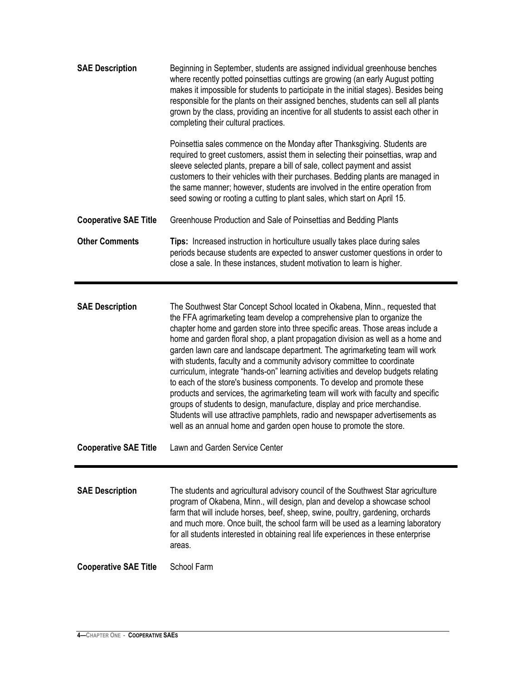| <b>SAE Description</b>       | Beginning in September, students are assigned individual greenhouse benches<br>where recently potted poinsettias cuttings are growing (an early August potting<br>makes it impossible for students to participate in the initial stages). Besides being<br>responsible for the plants on their assigned benches, students can sell all plants<br>grown by the class, providing an incentive for all students to assist each other in<br>completing their cultural practices.                |
|------------------------------|---------------------------------------------------------------------------------------------------------------------------------------------------------------------------------------------------------------------------------------------------------------------------------------------------------------------------------------------------------------------------------------------------------------------------------------------------------------------------------------------|
|                              | Poinsettia sales commence on the Monday after Thanksgiving. Students are<br>required to greet customers, assist them in selecting their poinsettias, wrap and<br>sleeve selected plants, prepare a bill of sale, collect payment and assist<br>customers to their vehicles with their purchases. Bedding plants are managed in<br>the same manner; however, students are involved in the entire operation from<br>seed sowing or rooting a cutting to plant sales, which start on April 15. |
| <b>Cooperative SAE Title</b> | Greenhouse Production and Sale of Poinsettias and Bedding Plants                                                                                                                                                                                                                                                                                                                                                                                                                            |
| <b>Other Comments</b>        | <b>Tips:</b> Increased instruction in horticulture usually takes place during sales<br>periods because students are expected to answer customer questions in order to<br>close a sale. In these instances, student motivation to learn is higher.                                                                                                                                                                                                                                           |

**SAE Description** The Southwest Star Concept School located in Okabena, Minn., requested that the FFA agrimarketing team develop a comprehensive plan to organize the chapter home and garden store into three specific areas. Those areas include a home and garden floral shop, a plant propagation division as well as a home and garden lawn care and landscape department. The agrimarketing team will work with students, faculty and a community advisory committee to coordinate curriculum, integrate "hands-on" learning activities and develop budgets relating to each of the store's business components. To develop and promote these products and services, the agrimarketing team will work with faculty and specific groups of students to design, manufacture, display and price merchandise. Students will use attractive pamphlets, radio and newspaper advertisements as well as an annual home and garden open house to promote the store.

**Cooperative SAE Title** Lawn and Garden Service Center

**SAE Description** The students and agricultural advisory council of the Southwest Star agriculture program of Okabena, Minn., will design, plan and develop a showcase school farm that will include horses, beef, sheep, swine, poultry, gardening, orchards and much more. Once built, the school farm will be used as a learning laboratory for all students interested in obtaining real life experiences in these enterprise areas.

**Cooperative SAE Title** School Farm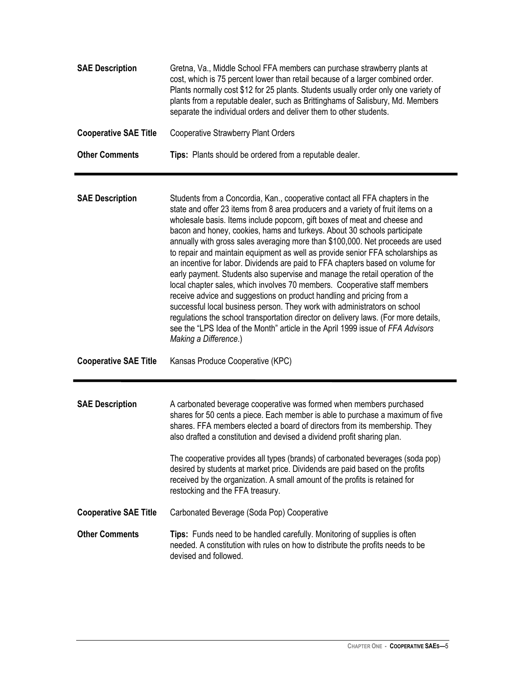| <b>SAE Description</b>       | Gretna, Va., Middle School FFA members can purchase strawberry plants at<br>cost, which is 75 percent lower than retail because of a larger combined order.<br>Plants normally cost \$12 for 25 plants. Students usually order only one variety of<br>plants from a reputable dealer, such as Brittinghams of Salisbury, Md. Members<br>separate the individual orders and deliver them to other students.                                                                                                                                                                                                                                                                                                                                                                                                                                                                                                                                                                                                                                                                                             |
|------------------------------|--------------------------------------------------------------------------------------------------------------------------------------------------------------------------------------------------------------------------------------------------------------------------------------------------------------------------------------------------------------------------------------------------------------------------------------------------------------------------------------------------------------------------------------------------------------------------------------------------------------------------------------------------------------------------------------------------------------------------------------------------------------------------------------------------------------------------------------------------------------------------------------------------------------------------------------------------------------------------------------------------------------------------------------------------------------------------------------------------------|
| <b>Cooperative SAE Title</b> | <b>Cooperative Strawberry Plant Orders</b>                                                                                                                                                                                                                                                                                                                                                                                                                                                                                                                                                                                                                                                                                                                                                                                                                                                                                                                                                                                                                                                             |
| <b>Other Comments</b>        | Tips: Plants should be ordered from a reputable dealer.                                                                                                                                                                                                                                                                                                                                                                                                                                                                                                                                                                                                                                                                                                                                                                                                                                                                                                                                                                                                                                                |
| <b>SAE Description</b>       | Students from a Concordia, Kan., cooperative contact all FFA chapters in the<br>state and offer 23 items from 8 area producers and a variety of fruit items on a<br>wholesale basis. Items include popcorn, gift boxes of meat and cheese and<br>bacon and honey, cookies, hams and turkeys. About 30 schools participate<br>annually with gross sales averaging more than \$100,000. Net proceeds are used<br>to repair and maintain equipment as well as provide senior FFA scholarships as<br>an incentive for labor. Dividends are paid to FFA chapters based on volume for<br>early payment. Students also supervise and manage the retail operation of the<br>local chapter sales, which involves 70 members. Cooperative staff members<br>receive advice and suggestions on product handling and pricing from a<br>successful local business person. They work with administrators on school<br>regulations the school transportation director on delivery laws. (For more details,<br>see the "LPS Idea of the Month" article in the April 1999 issue of FFA Advisors<br>Making a Difference.) |
| <b>Cooperative SAE Title</b> | Kansas Produce Cooperative (KPC)                                                                                                                                                                                                                                                                                                                                                                                                                                                                                                                                                                                                                                                                                                                                                                                                                                                                                                                                                                                                                                                                       |
| <b>SAE Description</b>       | A carbonated beverage cooperative was formed when members purchased<br>shares for 50 cents a piece. Each member is able to purchase a maximum of five<br>shares. FFA members elected a board of directors from its membership. They<br>also drafted a constitution and devised a dividend profit sharing plan.<br>The cooperative provides all types (brands) of carbonated beverages (soda pop)                                                                                                                                                                                                                                                                                                                                                                                                                                                                                                                                                                                                                                                                                                       |
|                              | desired by students at market price. Dividends are paid based on the profits<br>received by the organization. A small amount of the profits is retained for<br>restocking and the FFA treasury.                                                                                                                                                                                                                                                                                                                                                                                                                                                                                                                                                                                                                                                                                                                                                                                                                                                                                                        |
| <b>Cooperative SAE Title</b> | Carbonated Beverage (Soda Pop) Cooperative                                                                                                                                                                                                                                                                                                                                                                                                                                                                                                                                                                                                                                                                                                                                                                                                                                                                                                                                                                                                                                                             |
| <b>Other Comments</b>        | Tips: Funds need to be handled carefully. Monitoring of supplies is often<br>needed. A constitution with rules on how to distribute the profits needs to be<br>devised and followed.                                                                                                                                                                                                                                                                                                                                                                                                                                                                                                                                                                                                                                                                                                                                                                                                                                                                                                                   |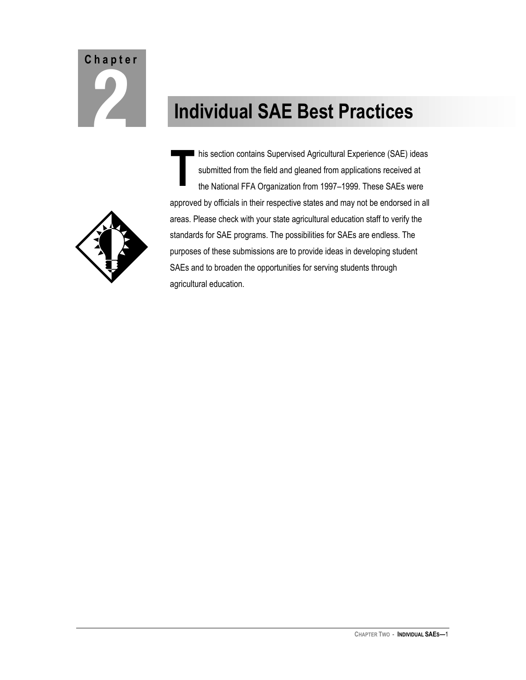# <span id="page-7-0"></span>**C h a p t e r**

## **2 Individual SAE Best Practices**



his section contains Supervised Agricultural Experience (SAE) ideas submitted from the field and gleaned from applications received at the National FFA Organization from 1997–1999. These SAEs were approved by officials in their respective states and may not be endorsed in all areas. Please check with your state agricultural education staff to verify the standards for SAE programs. The possibilities for SAEs are endless. The purposes of these submissions are to provide ideas in developing student SAEs and to broaden the opportunities for serving students through agricultural education. **T**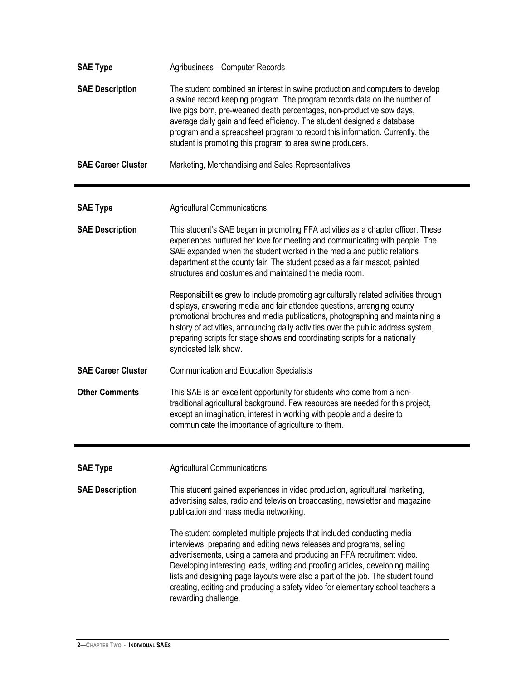| <b>SAE Type</b>           | Agribusiness-Computer Records                                                                                                                                                                                                                                                                                                                                                                                                                                                                              |
|---------------------------|------------------------------------------------------------------------------------------------------------------------------------------------------------------------------------------------------------------------------------------------------------------------------------------------------------------------------------------------------------------------------------------------------------------------------------------------------------------------------------------------------------|
| <b>SAE Description</b>    | The student combined an interest in swine production and computers to develop<br>a swine record keeping program. The program records data on the number of<br>live pigs born, pre-weaned death percentages, non-productive sow days,<br>average daily gain and feed efficiency. The student designed a database<br>program and a spreadsheet program to record this information. Currently, the<br>student is promoting this program to area swine producers.                                              |
| <b>SAE Career Cluster</b> | Marketing, Merchandising and Sales Representatives                                                                                                                                                                                                                                                                                                                                                                                                                                                         |
| <b>SAE Type</b>           | <b>Agricultural Communications</b>                                                                                                                                                                                                                                                                                                                                                                                                                                                                         |
| <b>SAE Description</b>    | This student's SAE began in promoting FFA activities as a chapter officer. These<br>experiences nurtured her love for meeting and communicating with people. The<br>SAE expanded when the student worked in the media and public relations<br>department at the county fair. The student posed as a fair mascot, painted<br>structures and costumes and maintained the media room.                                                                                                                         |
|                           | Responsibilities grew to include promoting agriculturally related activities through<br>displays, answering media and fair attendee questions, arranging county<br>promotional brochures and media publications, photographing and maintaining a<br>history of activities, announcing daily activities over the public address system,<br>preparing scripts for stage shows and coordinating scripts for a nationally<br>syndicated talk show.                                                             |
| <b>SAE Career Cluster</b> | <b>Communication and Education Specialists</b>                                                                                                                                                                                                                                                                                                                                                                                                                                                             |
| <b>Other Comments</b>     | This SAE is an excellent opportunity for students who come from a non-<br>traditional agricultural background. Few resources are needed for this project,<br>except an imagination, interest in working with people and a desire to<br>communicate the importance of agriculture to them.                                                                                                                                                                                                                  |
| <b>SAE Type</b>           | <b>Agricultural Communications</b>                                                                                                                                                                                                                                                                                                                                                                                                                                                                         |
| <b>SAE Description</b>    | This student gained experiences in video production, agricultural marketing,<br>advertising sales, radio and television broadcasting, newsletter and magazine<br>publication and mass media networking.                                                                                                                                                                                                                                                                                                    |
|                           | The student completed multiple projects that included conducting media<br>interviews, preparing and editing news releases and programs, selling<br>advertisements, using a camera and producing an FFA recruitment video.<br>Developing interesting leads, writing and proofing articles, developing mailing<br>lists and designing page layouts were also a part of the job. The student found<br>creating, editing and producing a safety video for elementary school teachers a<br>rewarding challenge. |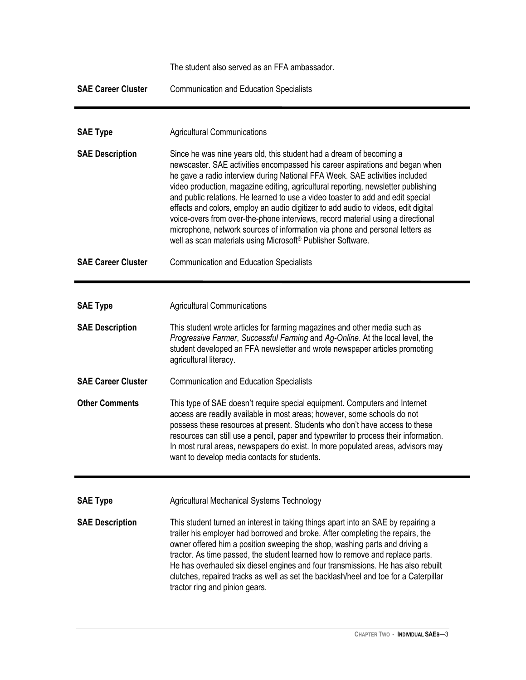|                           | The student also served as an FFA ambassador.                                                                                                                                                                                                                                                                                                                                                                                                                                                                                                                                                                                                                                                                                                  |
|---------------------------|------------------------------------------------------------------------------------------------------------------------------------------------------------------------------------------------------------------------------------------------------------------------------------------------------------------------------------------------------------------------------------------------------------------------------------------------------------------------------------------------------------------------------------------------------------------------------------------------------------------------------------------------------------------------------------------------------------------------------------------------|
| <b>SAE Career Cluster</b> | <b>Communication and Education Specialists</b>                                                                                                                                                                                                                                                                                                                                                                                                                                                                                                                                                                                                                                                                                                 |
|                           |                                                                                                                                                                                                                                                                                                                                                                                                                                                                                                                                                                                                                                                                                                                                                |
| <b>SAE Type</b>           | <b>Agricultural Communications</b>                                                                                                                                                                                                                                                                                                                                                                                                                                                                                                                                                                                                                                                                                                             |
| <b>SAE Description</b>    | Since he was nine years old, this student had a dream of becoming a<br>newscaster. SAE activities encompassed his career aspirations and began when<br>he gave a radio interview during National FFA Week. SAE activities included<br>video production, magazine editing, agricultural reporting, newsletter publishing<br>and public relations. He learned to use a video toaster to add and edit special<br>effects and colors, employ an audio digitizer to add audio to videos, edit digital<br>voice-overs from over-the-phone interviews, record material using a directional<br>microphone, network sources of information via phone and personal letters as<br>well as scan materials using Microsoft <sup>®</sup> Publisher Software. |
| <b>SAE Career Cluster</b> | <b>Communication and Education Specialists</b>                                                                                                                                                                                                                                                                                                                                                                                                                                                                                                                                                                                                                                                                                                 |
|                           |                                                                                                                                                                                                                                                                                                                                                                                                                                                                                                                                                                                                                                                                                                                                                |
| <b>SAE Type</b>           | <b>Agricultural Communications</b>                                                                                                                                                                                                                                                                                                                                                                                                                                                                                                                                                                                                                                                                                                             |
| <b>SAE Description</b>    | This student wrote articles for farming magazines and other media such as<br>Progressive Farmer, Successful Farming and Ag-Online. At the local level, the<br>student developed an FFA newsletter and wrote newspaper articles promoting<br>agricultural literacy.                                                                                                                                                                                                                                                                                                                                                                                                                                                                             |
| <b>SAE Career Cluster</b> | <b>Communication and Education Specialists</b>                                                                                                                                                                                                                                                                                                                                                                                                                                                                                                                                                                                                                                                                                                 |
| <b>Other Comments</b>     | This type of SAE doesn't require special equipment. Computers and Internet<br>access are readily available in most areas; however, some schools do not<br>possess these resources at present. Students who don't have access to these<br>resources can still use a pencil, paper and typewriter to process their information.<br>In most rural areas, newspapers do exist. In more populated areas, advisors may<br>want to develop media contacts for students.                                                                                                                                                                                                                                                                               |
| <b>SAE Type</b>           | Agricultural Mechanical Systems Technology                                                                                                                                                                                                                                                                                                                                                                                                                                                                                                                                                                                                                                                                                                     |
|                           |                                                                                                                                                                                                                                                                                                                                                                                                                                                                                                                                                                                                                                                                                                                                                |
| <b>SAE Description</b>    | This student turned an interest in taking things apart into an SAE by repairing a<br>trailer his employer had borrowed and broke. After completing the repairs, the<br>owner offered him a position sweeping the shop, washing parts and driving a<br>tractor. As time passed, the student learned how to remove and replace parts.<br>He has overhauled six diesel engines and four transmissions. He has also rebuilt<br>clutches, repaired tracks as well as set the backlash/heel and toe for a Caterpillar<br>tractor ring and pinion gears.                                                                                                                                                                                              |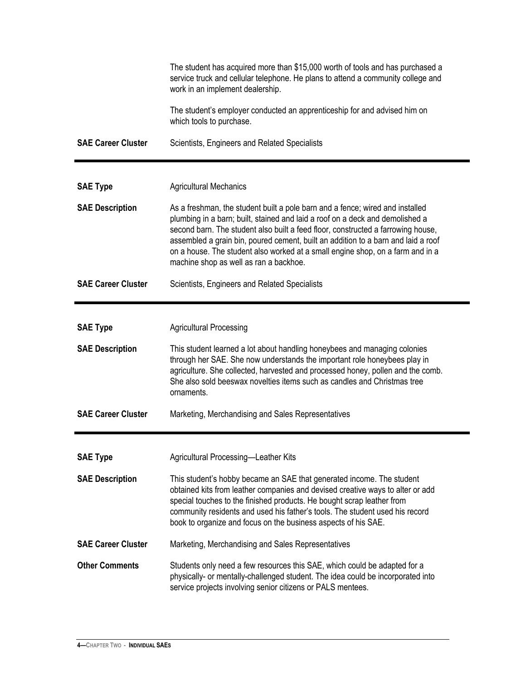|                           | The student has acquired more than \$15,000 worth of tools and has purchased a<br>service truck and cellular telephone. He plans to attend a community college and<br>work in an implement dealership.                                                                                                                                                                                                                                                              |
|---------------------------|---------------------------------------------------------------------------------------------------------------------------------------------------------------------------------------------------------------------------------------------------------------------------------------------------------------------------------------------------------------------------------------------------------------------------------------------------------------------|
|                           | The student's employer conducted an apprenticeship for and advised him on<br>which tools to purchase.                                                                                                                                                                                                                                                                                                                                                               |
| <b>SAE Career Cluster</b> | Scientists, Engineers and Related Specialists                                                                                                                                                                                                                                                                                                                                                                                                                       |
|                           |                                                                                                                                                                                                                                                                                                                                                                                                                                                                     |
| <b>SAE Type</b>           | <b>Agricultural Mechanics</b>                                                                                                                                                                                                                                                                                                                                                                                                                                       |
| <b>SAE Description</b>    | As a freshman, the student built a pole barn and a fence; wired and installed<br>plumbing in a barn; built, stained and laid a roof on a deck and demolished a<br>second barn. The student also built a feed floor, constructed a farrowing house,<br>assembled a grain bin, poured cement, built an addition to a barn and laid a roof<br>on a house. The student also worked at a small engine shop, on a farm and in a<br>machine shop as well as ran a backhoe. |
| <b>SAE Career Cluster</b> | Scientists, Engineers and Related Specialists                                                                                                                                                                                                                                                                                                                                                                                                                       |
|                           |                                                                                                                                                                                                                                                                                                                                                                                                                                                                     |
| <b>SAE Type</b>           | <b>Agricultural Processing</b>                                                                                                                                                                                                                                                                                                                                                                                                                                      |
| <b>SAE Description</b>    | This student learned a lot about handling honeybees and managing colonies<br>through her SAE. She now understands the important role honeybees play in<br>agriculture. She collected, harvested and processed honey, pollen and the comb.<br>She also sold beeswax novelties items such as candles and Christmas tree<br>ornaments.                                                                                                                                 |
| <b>SAE Career Cluster</b> | Marketing, Merchandising and Sales Representatives                                                                                                                                                                                                                                                                                                                                                                                                                  |
|                           |                                                                                                                                                                                                                                                                                                                                                                                                                                                                     |
| <b>SAE Type</b>           | Agricultural Processing-Leather Kits                                                                                                                                                                                                                                                                                                                                                                                                                                |
| <b>SAE Description</b>    | This student's hobby became an SAE that generated income. The student<br>obtained kits from leather companies and devised creative ways to alter or add<br>special touches to the finished products. He bought scrap leather from<br>community residents and used his father's tools. The student used his record<br>book to organize and focus on the business aspects of his SAE.                                                                                 |
| <b>SAE Career Cluster</b> | Marketing, Merchandising and Sales Representatives                                                                                                                                                                                                                                                                                                                                                                                                                  |
| <b>Other Comments</b>     | Students only need a few resources this SAE, which could be adapted for a<br>physically- or mentally-challenged student. The idea could be incorporated into<br>service projects involving senior citizens or PALS mentees.                                                                                                                                                                                                                                         |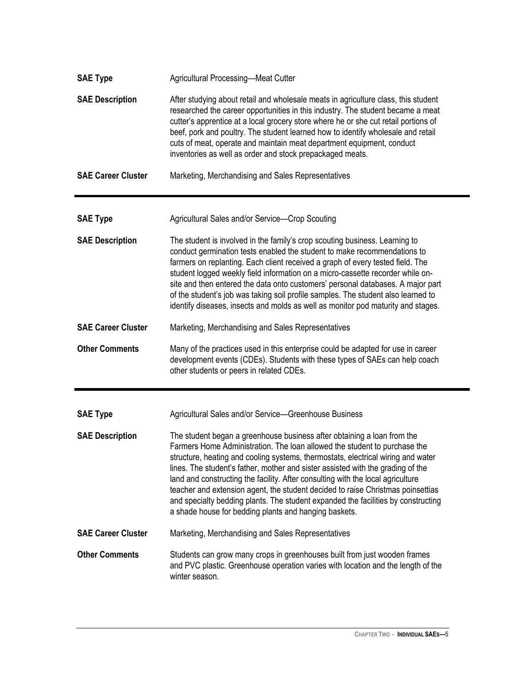| <b>SAE Type</b>           | Agricultural Processing-Meat Cutter                                                                                                                                                                                                                                                                                                                                                                                                                                                                                                                                                                                                             |
|---------------------------|-------------------------------------------------------------------------------------------------------------------------------------------------------------------------------------------------------------------------------------------------------------------------------------------------------------------------------------------------------------------------------------------------------------------------------------------------------------------------------------------------------------------------------------------------------------------------------------------------------------------------------------------------|
| <b>SAE Description</b>    | After studying about retail and wholesale meats in agriculture class, this student<br>researched the career opportunities in this industry. The student became a meat<br>cutter's apprentice at a local grocery store where he or she cut retail portions of<br>beef, pork and poultry. The student learned how to identify wholesale and retail<br>cuts of meat, operate and maintain meat department equipment, conduct<br>inventories as well as order and stock prepackaged meats.                                                                                                                                                          |
| <b>SAE Career Cluster</b> | Marketing, Merchandising and Sales Representatives                                                                                                                                                                                                                                                                                                                                                                                                                                                                                                                                                                                              |
| <b>SAE Type</b>           | Agricultural Sales and/or Service-Crop Scouting                                                                                                                                                                                                                                                                                                                                                                                                                                                                                                                                                                                                 |
| <b>SAE Description</b>    | The student is involved in the family's crop scouting business. Learning to<br>conduct germination tests enabled the student to make recommendations to<br>farmers on replanting. Each client received a graph of every tested field. The<br>student logged weekly field information on a micro-cassette recorder while on-<br>site and then entered the data onto customers' personal databases. A major part<br>of the student's job was taking soil profile samples. The student also learned to<br>identify diseases, insects and molds as well as monitor pod maturity and stages.                                                         |
| <b>SAE Career Cluster</b> | Marketing, Merchandising and Sales Representatives                                                                                                                                                                                                                                                                                                                                                                                                                                                                                                                                                                                              |
| <b>Other Comments</b>     | Many of the practices used in this enterprise could be adapted for use in career<br>development events (CDEs). Students with these types of SAEs can help coach<br>other students or peers in related CDEs.                                                                                                                                                                                                                                                                                                                                                                                                                                     |
| <b>SAE Type</b>           | Agricultural Sales and/or Service-Greenhouse Business                                                                                                                                                                                                                                                                                                                                                                                                                                                                                                                                                                                           |
| <b>SAE Description</b>    | The student began a greenhouse business after obtaining a loan from the<br>Farmers Home Administration. The loan allowed the student to purchase the<br>structure, heating and cooling systems, thermostats, electrical wiring and water<br>lines. The student's father, mother and sister assisted with the grading of the<br>land and constructing the facility. After consulting with the local agriculture<br>teacher and extension agent, the student decided to raise Christmas poinsettias<br>and specialty bedding plants. The student expanded the facilities by constructing<br>a shade house for bedding plants and hanging baskets. |
| <b>SAE Career Cluster</b> | Marketing, Merchandising and Sales Representatives                                                                                                                                                                                                                                                                                                                                                                                                                                                                                                                                                                                              |
| <b>Other Comments</b>     | Students can grow many crops in greenhouses built from just wooden frames<br>and PVC plastic. Greenhouse operation varies with location and the length of the<br>winter season.                                                                                                                                                                                                                                                                                                                                                                                                                                                                 |

 $\blacksquare$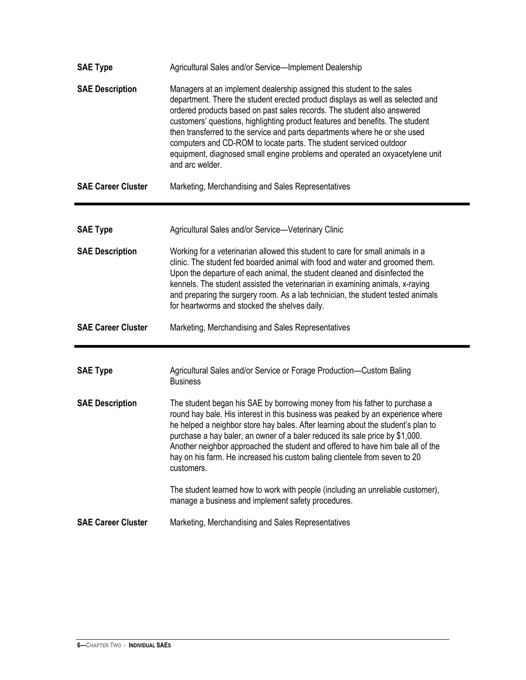| <b>SAE Type</b>           | Agricultural Sales and/or Service-Implement Dealership                                                                                                                                                                                                                                                                                                                                                                                                                                                                                                                      |
|---------------------------|-----------------------------------------------------------------------------------------------------------------------------------------------------------------------------------------------------------------------------------------------------------------------------------------------------------------------------------------------------------------------------------------------------------------------------------------------------------------------------------------------------------------------------------------------------------------------------|
| <b>SAE Description</b>    | Managers at an implement dealership assigned this student to the sales<br>department. There the student erected product displays as well as selected and<br>ordered products based on past sales records. The student also answered<br>customers' questions, highlighting product features and benefits. The student<br>then transferred to the service and parts departments where he or she used<br>computers and CD-ROM to locate parts. The student serviced outdoor<br>equipment, diagnosed small engine problems and operated an oxyacetylene unit<br>and arc welder. |
| <b>SAE Career Cluster</b> | Marketing, Merchandising and Sales Representatives                                                                                                                                                                                                                                                                                                                                                                                                                                                                                                                          |
| <b>SAE Type</b>           | Agricultural Sales and/or Service-Veterinary Clinic                                                                                                                                                                                                                                                                                                                                                                                                                                                                                                                         |
| <b>SAE Description</b>    | Working for a veterinarian allowed this student to care for small animals in a<br>clinic. The student fed boarded animal with food and water and groomed them.<br>Upon the departure of each animal, the student cleaned and disinfected the<br>kennels. The student assisted the veterinarian in examining animals, x-raying<br>and preparing the surgery room. As a lab technician, the student tested animals<br>for heartworms and stocked the shelves daily.                                                                                                           |
| <b>SAE Career Cluster</b> | Marketing, Merchandising and Sales Representatives                                                                                                                                                                                                                                                                                                                                                                                                                                                                                                                          |
| <b>SAE Type</b>           | Agricultural Sales and/or Service or Forage Production-Custom Baling<br><b>Business</b>                                                                                                                                                                                                                                                                                                                                                                                                                                                                                     |
| <b>SAE Description</b>    | The student began his SAE by borrowing money from his father to purchase a<br>round hay bale. His interest in this business was peaked by an experience where<br>he helped a neighbor store hay bales. After learning about the student's plan to<br>purchase a hay baler, an owner of a baler reduced its sale price by \$1,000.<br>Another neighbor approached the student and offered to have him bale all of the<br>hay on his farm. He increased his custom baling clientele from seven to 20<br>customers.                                                            |
|                           | The student learned how to work with people (including an unreliable customer),<br>manage a business and implement safety procedures.                                                                                                                                                                                                                                                                                                                                                                                                                                       |
|                           |                                                                                                                                                                                                                                                                                                                                                                                                                                                                                                                                                                             |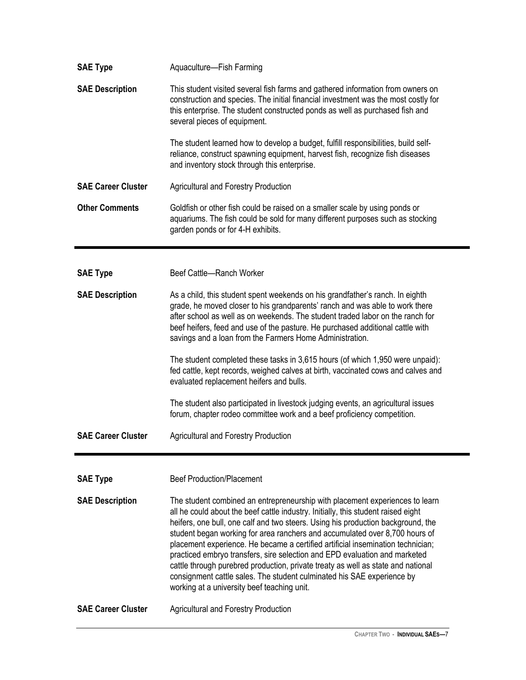| <b>SAE Type</b>           | Aquaculture-Fish Farming                                                                                                                                                                                                                                                                                                                                                                                                                                                                                                                                                                                                                                                                                           |
|---------------------------|--------------------------------------------------------------------------------------------------------------------------------------------------------------------------------------------------------------------------------------------------------------------------------------------------------------------------------------------------------------------------------------------------------------------------------------------------------------------------------------------------------------------------------------------------------------------------------------------------------------------------------------------------------------------------------------------------------------------|
| <b>SAE Description</b>    | This student visited several fish farms and gathered information from owners on<br>construction and species. The initial financial investment was the most costly for<br>this enterprise. The student constructed ponds as well as purchased fish and<br>several pieces of equipment.                                                                                                                                                                                                                                                                                                                                                                                                                              |
|                           | The student learned how to develop a budget, fulfill responsibilities, build self-<br>reliance, construct spawning equipment, harvest fish, recognize fish diseases<br>and inventory stock through this enterprise.                                                                                                                                                                                                                                                                                                                                                                                                                                                                                                |
| <b>SAE Career Cluster</b> | <b>Agricultural and Forestry Production</b>                                                                                                                                                                                                                                                                                                                                                                                                                                                                                                                                                                                                                                                                        |
| <b>Other Comments</b>     | Goldfish or other fish could be raised on a smaller scale by using ponds or<br>aquariums. The fish could be sold for many different purposes such as stocking<br>garden ponds or for 4-H exhibits.                                                                                                                                                                                                                                                                                                                                                                                                                                                                                                                 |
| <b>SAE Type</b>           | Beef Cattle-Ranch Worker                                                                                                                                                                                                                                                                                                                                                                                                                                                                                                                                                                                                                                                                                           |
| <b>SAE Description</b>    | As a child, this student spent weekends on his grandfather's ranch. In eighth<br>grade, he moved closer to his grandparents' ranch and was able to work there<br>after school as well as on weekends. The student traded labor on the ranch for<br>beef heifers, feed and use of the pasture. He purchased additional cattle with<br>savings and a loan from the Farmers Home Administration.                                                                                                                                                                                                                                                                                                                      |
|                           | The student completed these tasks in 3,615 hours (of which 1,950 were unpaid):<br>fed cattle, kept records, weighed calves at birth, vaccinated cows and calves and<br>evaluated replacement heifers and bulls.                                                                                                                                                                                                                                                                                                                                                                                                                                                                                                    |
|                           | The student also participated in livestock judging events, an agricultural issues<br>forum, chapter rodeo committee work and a beef proficiency competition.                                                                                                                                                                                                                                                                                                                                                                                                                                                                                                                                                       |
| <b>SAE Career Cluster</b> | <b>Agricultural and Forestry Production</b>                                                                                                                                                                                                                                                                                                                                                                                                                                                                                                                                                                                                                                                                        |
| <b>SAE Type</b>           | <b>Beef Production/Placement</b>                                                                                                                                                                                                                                                                                                                                                                                                                                                                                                                                                                                                                                                                                   |
| <b>SAE Description</b>    | The student combined an entrepreneurship with placement experiences to learn<br>all he could about the beef cattle industry. Initially, this student raised eight<br>heifers, one bull, one calf and two steers. Using his production background, the<br>student began working for area ranchers and accumulated over 8,700 hours of<br>placement experience. He became a certified artificial insemination technician;<br>practiced embryo transfers, sire selection and EPD evaluation and marketed<br>cattle through purebred production, private treaty as well as state and national<br>consignment cattle sales. The student culminated his SAE experience by<br>working at a university beef teaching unit. |
| <b>SAE Career Cluster</b> | <b>Agricultural and Forestry Production</b>                                                                                                                                                                                                                                                                                                                                                                                                                                                                                                                                                                                                                                                                        |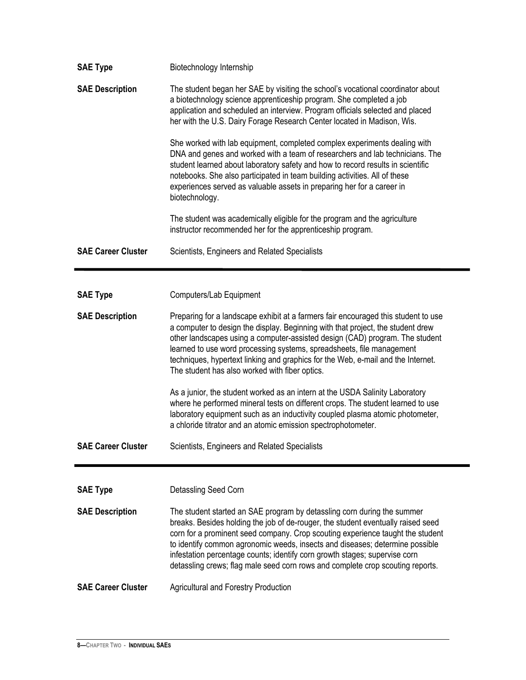| <b>SAE Type</b>           | Biotechnology Internship                                                                                                                                                                                                                                                                                                                                                                                                                                                                      |
|---------------------------|-----------------------------------------------------------------------------------------------------------------------------------------------------------------------------------------------------------------------------------------------------------------------------------------------------------------------------------------------------------------------------------------------------------------------------------------------------------------------------------------------|
| <b>SAE Description</b>    | The student began her SAE by visiting the school's vocational coordinator about<br>a biotechnology science apprenticeship program. She completed a job<br>application and scheduled an interview. Program officials selected and placed<br>her with the U.S. Dairy Forage Research Center located in Madison, Wis.                                                                                                                                                                            |
|                           | She worked with lab equipment, completed complex experiments dealing with<br>DNA and genes and worked with a team of researchers and lab technicians. The<br>student learned about laboratory safety and how to record results in scientific<br>notebooks. She also participated in team building activities. All of these<br>experiences served as valuable assets in preparing her for a career in<br>biotechnology.                                                                        |
|                           | The student was academically eligible for the program and the agriculture<br>instructor recommended her for the apprenticeship program.                                                                                                                                                                                                                                                                                                                                                       |
| <b>SAE Career Cluster</b> | Scientists, Engineers and Related Specialists                                                                                                                                                                                                                                                                                                                                                                                                                                                 |
|                           |                                                                                                                                                                                                                                                                                                                                                                                                                                                                                               |
| <b>SAE Type</b>           | Computers/Lab Equipment                                                                                                                                                                                                                                                                                                                                                                                                                                                                       |
| <b>SAE Description</b>    | Preparing for a landscape exhibit at a farmers fair encouraged this student to use                                                                                                                                                                                                                                                                                                                                                                                                            |
|                           | a computer to design the display. Beginning with that project, the student drew<br>other landscapes using a computer-assisted design (CAD) program. The student<br>learned to use word processing systems, spreadsheets, file management<br>techniques, hypertext linking and graphics for the Web, e-mail and the Internet.<br>The student has also worked with fiber optics.                                                                                                                |
|                           | As a junior, the student worked as an intern at the USDA Salinity Laboratory<br>where he performed mineral tests on different crops. The student learned to use<br>laboratory equipment such as an inductivity coupled plasma atomic photometer,<br>a chloride titrator and an atomic emission spectrophotometer.                                                                                                                                                                             |
| <b>SAE Career Cluster</b> | Scientists, Engineers and Related Specialists                                                                                                                                                                                                                                                                                                                                                                                                                                                 |
|                           |                                                                                                                                                                                                                                                                                                                                                                                                                                                                                               |
| <b>SAE Type</b>           | Detassling Seed Corn                                                                                                                                                                                                                                                                                                                                                                                                                                                                          |
| <b>SAE Description</b>    | The student started an SAE program by detassling corn during the summer<br>breaks. Besides holding the job of de-rouger, the student eventually raised seed<br>corn for a prominent seed company. Crop scouting experience taught the student<br>to identify common agronomic weeds, insects and diseases; determine possible<br>infestation percentage counts; identify corn growth stages; supervise corn<br>detassling crews; flag male seed corn rows and complete crop scouting reports. |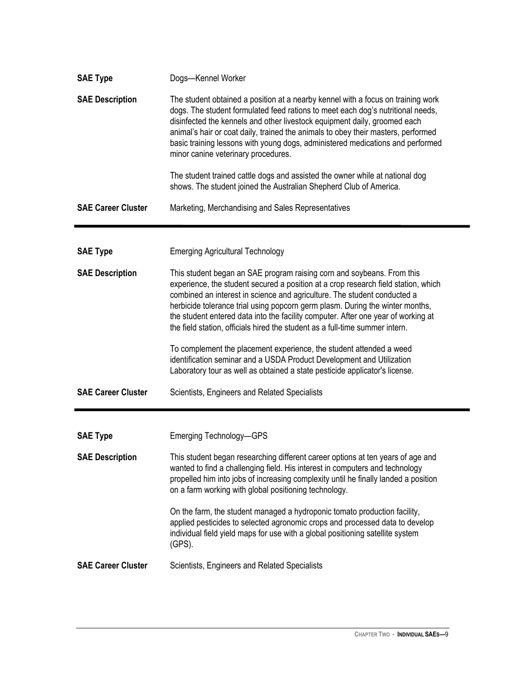| <b>SAE Type</b>           | Dogs-Kennel Worker                                                                                                                                                                                                                                                                                                                                                                                                                                                                                                                                                                                                                                                                                                            |
|---------------------------|-------------------------------------------------------------------------------------------------------------------------------------------------------------------------------------------------------------------------------------------------------------------------------------------------------------------------------------------------------------------------------------------------------------------------------------------------------------------------------------------------------------------------------------------------------------------------------------------------------------------------------------------------------------------------------------------------------------------------------|
| <b>SAE Description</b>    | The student obtained a position at a nearby kennel with a focus on training work<br>dogs. The student formulated feed rations to meet each dog's nutritional needs,<br>disinfected the kennels and other livestock equipment daily, groomed each<br>animal's hair or coat daily, trained the animals to obey their masters, performed<br>basic training lessons with young dogs, administered medications and performed<br>minor canine veterinary procedures.                                                                                                                                                                                                                                                                |
|                           | The student trained cattle dogs and assisted the owner while at national dog<br>shows. The student joined the Australian Shepherd Club of America.                                                                                                                                                                                                                                                                                                                                                                                                                                                                                                                                                                            |
| <b>SAE Career Cluster</b> | Marketing, Merchandising and Sales Representatives                                                                                                                                                                                                                                                                                                                                                                                                                                                                                                                                                                                                                                                                            |
| <b>SAE Type</b>           | <b>Emerging Agricultural Technology</b>                                                                                                                                                                                                                                                                                                                                                                                                                                                                                                                                                                                                                                                                                       |
| <b>SAE Description</b>    | This student began an SAE program raising corn and soybeans. From this<br>experience, the student secured a position at a crop research field station, which<br>combined an interest in science and agriculture. The student conducted a<br>herbicide tolerance trial using popcorn germ plasm. During the winter months,<br>the student entered data into the facility computer. After one year of working at<br>the field station, officials hired the student as a full-time summer intern.<br>To complement the placement experience, the student attended a weed<br>identification seminar and a USDA Product Development and Utilization<br>Laboratory tour as well as obtained a state pesticide applicator's license. |
| <b>SAE Career Cluster</b> | Scientists, Engineers and Related Specialists                                                                                                                                                                                                                                                                                                                                                                                                                                                                                                                                                                                                                                                                                 |
|                           |                                                                                                                                                                                                                                                                                                                                                                                                                                                                                                                                                                                                                                                                                                                               |
| <b>SAE Type</b>           | <b>Emerging Technology-GPS</b>                                                                                                                                                                                                                                                                                                                                                                                                                                                                                                                                                                                                                                                                                                |
| <b>SAE Description</b>    | This student began researching different career options at ten years of age and<br>wanted to find a challenging field. His interest in computers and technology<br>propelled him into jobs of increasing complexity until he finally landed a position<br>on a farm working with global positioning technology.                                                                                                                                                                                                                                                                                                                                                                                                               |
|                           | On the farm, the student managed a hydroponic tomato production facility,<br>applied pesticides to selected agronomic crops and processed data to develop<br>individual field yield maps for use with a global positioning satellite system<br>$(GPS)$ .                                                                                                                                                                                                                                                                                                                                                                                                                                                                      |
| <b>SAE Career Cluster</b> | Scientists, Engineers and Related Specialists                                                                                                                                                                                                                                                                                                                                                                                                                                                                                                                                                                                                                                                                                 |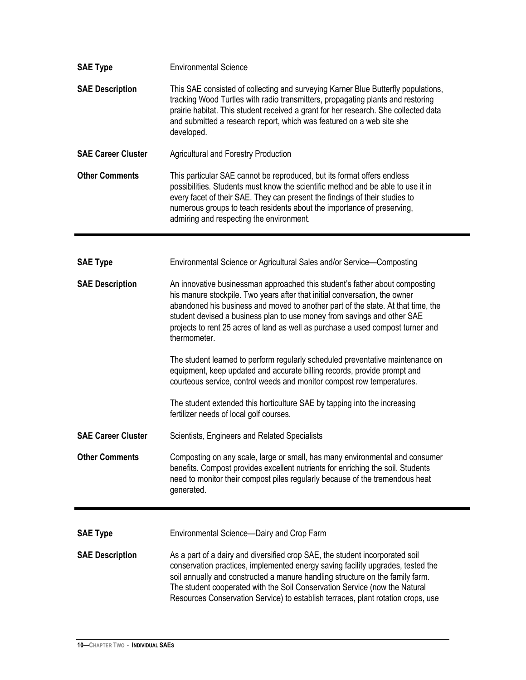| <b>SAE Type</b>           | <b>Environmental Science</b>                                                                                                                                                                                                                                                                                                                                                                                       |
|---------------------------|--------------------------------------------------------------------------------------------------------------------------------------------------------------------------------------------------------------------------------------------------------------------------------------------------------------------------------------------------------------------------------------------------------------------|
| <b>SAE Description</b>    | This SAE consisted of collecting and surveying Karner Blue Butterfly populations,<br>tracking Wood Turtles with radio transmitters, propagating plants and restoring<br>prairie habitat. This student received a grant for her research. She collected data<br>and submitted a research report, which was featured on a web site she<br>developed.                                                                 |
| <b>SAE Career Cluster</b> | <b>Agricultural and Forestry Production</b>                                                                                                                                                                                                                                                                                                                                                                        |
| <b>Other Comments</b>     | This particular SAE cannot be reproduced, but its format offers endless<br>possibilities. Students must know the scientific method and be able to use it in<br>every facet of their SAE. They can present the findings of their studies to<br>numerous groups to teach residents about the importance of preserving,<br>admiring and respecting the environment.                                                   |
| <b>SAE Type</b>           | Environmental Science or Agricultural Sales and/or Service-Composting                                                                                                                                                                                                                                                                                                                                              |
| <b>SAE Description</b>    | An innovative businessman approached this student's father about composting<br>his manure stockpile. Two years after that initial conversation, the owner<br>abandoned his business and moved to another part of the state. At that time, the<br>student devised a business plan to use money from savings and other SAE                                                                                           |
|                           | projects to rent 25 acres of land as well as purchase a used compost turner and<br>thermometer.                                                                                                                                                                                                                                                                                                                    |
|                           | The student learned to perform regularly scheduled preventative maintenance on<br>equipment, keep updated and accurate billing records, provide prompt and<br>courteous service, control weeds and monitor compost row temperatures.                                                                                                                                                                               |
|                           | The student extended this horticulture SAE by tapping into the increasing<br>fertilizer needs of local golf courses.                                                                                                                                                                                                                                                                                               |
| <b>SAE Career Cluster</b> | Scientists, Engineers and Related Specialists                                                                                                                                                                                                                                                                                                                                                                      |
| <b>Other Comments</b>     | Composting on any scale, large or small, has many environmental and consumer<br>benefits. Compost provides excellent nutrients for enriching the soil. Students<br>need to monitor their compost piles regularly because of the tremendous heat<br>generated.                                                                                                                                                      |
| <b>SAE Type</b>           | Environmental Science-Dairy and Crop Farm                                                                                                                                                                                                                                                                                                                                                                          |
| <b>SAE Description</b>    | As a part of a dairy and diversified crop SAE, the student incorporated soil<br>conservation practices, implemented energy saving facility upgrades, tested the<br>soil annually and constructed a manure handling structure on the family farm.<br>The student cooperated with the Soil Conservation Service (now the Natural<br>Resources Conservation Service) to establish terraces, plant rotation crops, use |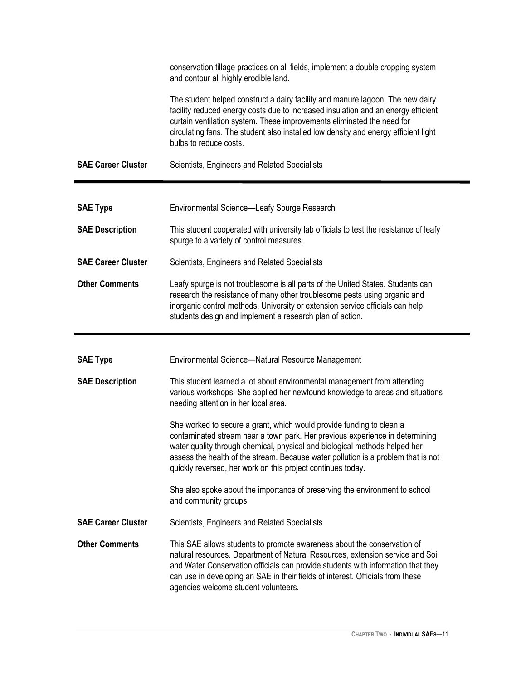|                           | conservation tillage practices on all fields, implement a double cropping system<br>and contour all highly erodible land.                                                                                                                                                                                                                                                              |
|---------------------------|----------------------------------------------------------------------------------------------------------------------------------------------------------------------------------------------------------------------------------------------------------------------------------------------------------------------------------------------------------------------------------------|
|                           | The student helped construct a dairy facility and manure lagoon. The new dairy<br>facility reduced energy costs due to increased insulation and an energy efficient<br>curtain ventilation system. These improvements eliminated the need for<br>circulating fans. The student also installed low density and energy efficient light<br>bulbs to reduce costs.                         |
| <b>SAE Career Cluster</b> | Scientists, Engineers and Related Specialists                                                                                                                                                                                                                                                                                                                                          |
|                           |                                                                                                                                                                                                                                                                                                                                                                                        |
| <b>SAE Type</b>           | Environmental Science—Leafy Spurge Research                                                                                                                                                                                                                                                                                                                                            |
| <b>SAE Description</b>    | This student cooperated with university lab officials to test the resistance of leafy<br>spurge to a variety of control measures.                                                                                                                                                                                                                                                      |
| <b>SAE Career Cluster</b> | Scientists, Engineers and Related Specialists                                                                                                                                                                                                                                                                                                                                          |
| <b>Other Comments</b>     | Leafy spurge is not troublesome is all parts of the United States. Students can<br>research the resistance of many other troublesome pests using organic and<br>inorganic control methods. University or extension service officials can help<br>students design and implement a research plan of action.                                                                              |
|                           |                                                                                                                                                                                                                                                                                                                                                                                        |
|                           |                                                                                                                                                                                                                                                                                                                                                                                        |
| <b>SAE Type</b>           | Environmental Science-Natural Resource Management                                                                                                                                                                                                                                                                                                                                      |
| <b>SAE Description</b>    | This student learned a lot about environmental management from attending<br>various workshops. She applied her newfound knowledge to areas and situations<br>needing attention in her local area.                                                                                                                                                                                      |
|                           | She worked to secure a grant, which would provide funding to clean a<br>contaminated stream near a town park. Her previous experience in determining<br>water quality through chemical, physical and biological methods helped her<br>assess the health of the stream. Because water pollution is a problem that is not<br>quickly reversed, her work on this project continues today. |
|                           | She also spoke about the importance of preserving the environment to school<br>and community groups.                                                                                                                                                                                                                                                                                   |
| <b>SAE Career Cluster</b> | Scientists, Engineers and Related Specialists                                                                                                                                                                                                                                                                                                                                          |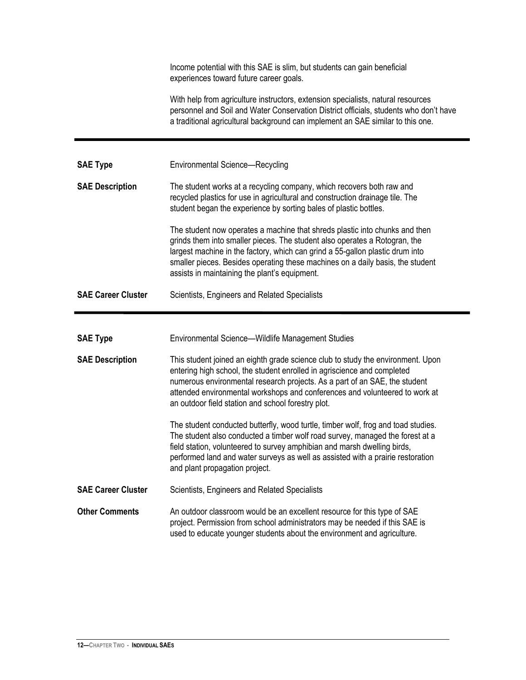Income potential with this SAE is slim, but students can gain beneficial experiences toward future career goals. With help from agriculture instructors, extension specialists, natural resources personnel and Soil and Water Conservation District officials, students who don't have a traditional agricultural background can implement an SAE similar to this one. **SAE Type** Environmental Science—Recycling **SAE Description** The student works at a recycling company, which recovers both raw and recycled plastics for use in agricultural and construction drainage tile. The student began the experience by sorting bales of plastic bottles. The student now operates a machine that shreds plastic into chunks and then grinds them into smaller pieces. The student also operates a Rotogran, the largest machine in the factory, which can grind a 55-gallon plastic drum into smaller pieces. Besides operating these machines on a daily basis, the student assists in maintaining the plant's equipment. **SAE Career Cluster** Scientists, Engineers and Related Specialists **SAE Type** Environmental Science—Wildlife Management Studies **SAE Description** This student joined an eighth grade science club to study the environment. Upon entering high school, the student enrolled in agriscience and completed numerous environmental research projects. As a part of an SAE, the student attended environmental workshops and conferences and volunteered to work at an outdoor field station and school forestry plot. The student conducted butterfly, wood turtle, timber wolf, frog and toad studies. The student also conducted a timber wolf road survey, managed the forest at a field station, volunteered to survey amphibian and marsh dwelling birds, performed land and water surveys as well as assisted with a prairie restoration and plant propagation project. **SAE Career Cluster** Scientists, Engineers and Related Specialists **Other Comments** An outdoor classroom would be an excellent resource for this type of SAE project. Permission from school administrators may be needed if this SAE is used to educate younger students about the environment and agriculture.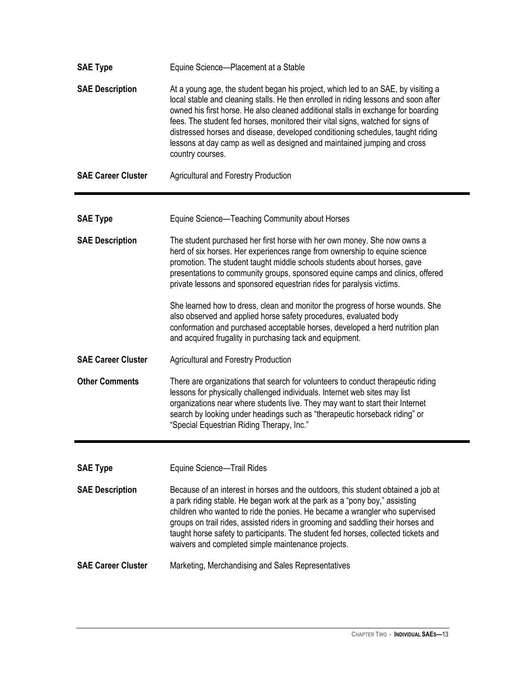| <b>SAE Type</b>           | Equine Science-Placement at a Stable                                                                                                                                                                                                                                                                                                                                                                                                                                                                                               |
|---------------------------|------------------------------------------------------------------------------------------------------------------------------------------------------------------------------------------------------------------------------------------------------------------------------------------------------------------------------------------------------------------------------------------------------------------------------------------------------------------------------------------------------------------------------------|
| <b>SAE Description</b>    | At a young age, the student began his project, which led to an SAE, by visiting a<br>local stable and cleaning stalls. He then enrolled in riding lessons and soon after<br>owned his first horse. He also cleaned additional stalls in exchange for boarding<br>fees. The student fed horses, monitored their vital signs, watched for signs of<br>distressed horses and disease, developed conditioning schedules, taught riding<br>lessons at day camp as well as designed and maintained jumping and cross<br>country courses. |
| <b>SAE Career Cluster</b> | <b>Agricultural and Forestry Production</b>                                                                                                                                                                                                                                                                                                                                                                                                                                                                                        |
|                           |                                                                                                                                                                                                                                                                                                                                                                                                                                                                                                                                    |
| <b>SAE Type</b>           | Equine Science-Teaching Community about Horses                                                                                                                                                                                                                                                                                                                                                                                                                                                                                     |
| <b>SAE Description</b>    | The student purchased her first horse with her own money. She now owns a<br>herd of six horses. Her experiences range from ownership to equine science<br>promotion. The student taught middle schools students about horses, gave<br>presentations to community groups, sponsored equine camps and clinics, offered<br>private lessons and sponsored equestrian rides for paralysis victims.                                                                                                                                      |
|                           | She learned how to dress, clean and monitor the progress of horse wounds. She<br>also observed and applied horse safety procedures, evaluated body<br>conformation and purchased acceptable horses, developed a herd nutrition plan<br>and acquired frugality in purchasing tack and equipment.                                                                                                                                                                                                                                    |
| <b>SAE Career Cluster</b> | <b>Agricultural and Forestry Production</b>                                                                                                                                                                                                                                                                                                                                                                                                                                                                                        |
| <b>Other Comments</b>     | There are organizations that search for volunteers to conduct therapeutic riding<br>lessons for physically challenged individuals. Internet web sites may list<br>organizations near where students live. They may want to start their Internet<br>search by looking under headings such as "therapeutic horseback riding" or<br>"Special Equestrian Riding Therapy, Inc."                                                                                                                                                         |
|                           |                                                                                                                                                                                                                                                                                                                                                                                                                                                                                                                                    |
| <b>SAE Type</b>           | Equine Science-Trail Rides                                                                                                                                                                                                                                                                                                                                                                                                                                                                                                         |
| <b>SAE Description</b>    | Because of an interest in horses and the outdoors, this student obtained a job at<br>a park riding stable. He began work at the park as a "pony boy," assisting<br>children who wanted to ride the ponies. He became a wrangler who supervised<br>groups on trail rides, assisted riders in grooming and saddling their horses and<br>taught horse safety to participants. The student fed horses, collected tickets and<br>waivers and completed simple maintenance projects.                                                     |
| <b>SAE Career Cluster</b> | Marketing, Merchandising and Sales Representatives                                                                                                                                                                                                                                                                                                                                                                                                                                                                                 |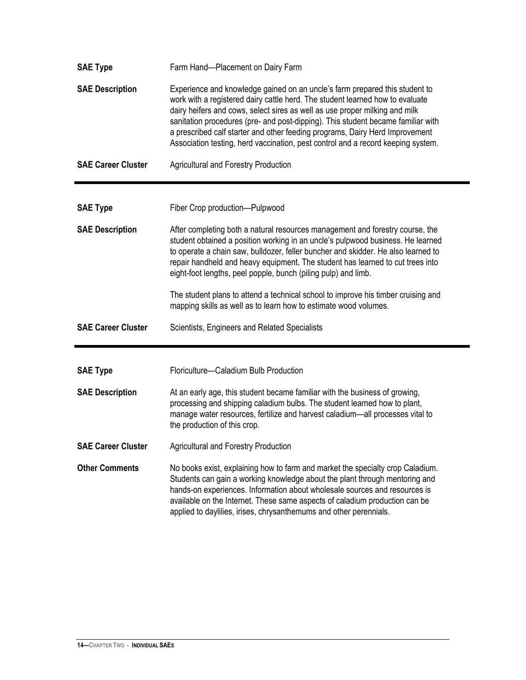| <b>SAE Type</b>           | Farm Hand-Placement on Dairy Farm                                                                                                                                                                                                                                                                                                                                                                                                                                                                   |
|---------------------------|-----------------------------------------------------------------------------------------------------------------------------------------------------------------------------------------------------------------------------------------------------------------------------------------------------------------------------------------------------------------------------------------------------------------------------------------------------------------------------------------------------|
| <b>SAE Description</b>    | Experience and knowledge gained on an uncle's farm prepared this student to<br>work with a registered dairy cattle herd. The student learned how to evaluate<br>dairy heifers and cows, select sires as well as use proper milking and milk<br>sanitation procedures (pre- and post-dipping). This student became familiar with<br>a prescribed calf starter and other feeding programs, Dairy Herd Improvement<br>Association testing, herd vaccination, pest control and a record keeping system. |
| <b>SAE Career Cluster</b> | <b>Agricultural and Forestry Production</b>                                                                                                                                                                                                                                                                                                                                                                                                                                                         |
| <b>SAE Type</b>           | Fiber Crop production-Pulpwood                                                                                                                                                                                                                                                                                                                                                                                                                                                                      |
| <b>SAE Description</b>    | After completing both a natural resources management and forestry course, the<br>student obtained a position working in an uncle's pulpwood business. He learned<br>to operate a chain saw, bulldozer, feller buncher and skidder. He also learned to<br>repair handheld and heavy equipment. The student has learned to cut trees into<br>eight-foot lengths, peel popple, bunch (piling pulp) and limb.                                                                                           |
|                           | The student plans to attend a technical school to improve his timber cruising and<br>mapping skills as well as to learn how to estimate wood volumes.                                                                                                                                                                                                                                                                                                                                               |
| <b>SAE Career Cluster</b> | Scientists, Engineers and Related Specialists                                                                                                                                                                                                                                                                                                                                                                                                                                                       |
|                           |                                                                                                                                                                                                                                                                                                                                                                                                                                                                                                     |
| <b>SAE Type</b>           | Floriculture-Caladium Bulb Production                                                                                                                                                                                                                                                                                                                                                                                                                                                               |
| <b>SAE Description</b>    | At an early age, this student became familiar with the business of growing,<br>processing and shipping caladium bulbs. The student learned how to plant,<br>manage water resources, fertilize and harvest caladium-all processes vital to<br>the production of this crop.                                                                                                                                                                                                                           |
| <b>SAE Career Cluster</b> | Agricultural and Forestry Production                                                                                                                                                                                                                                                                                                                                                                                                                                                                |
| <b>Other Comments</b>     | No books exist, explaining how to farm and market the specialty crop Caladium.<br>Students can gain a working knowledge about the plant through mentoring and<br>hands-on experiences. Information about wholesale sources and resources is<br>available on the Internet. These same aspects of caladium production can be<br>applied to daylilies, irises, chrysanthemums and other perennials.                                                                                                    |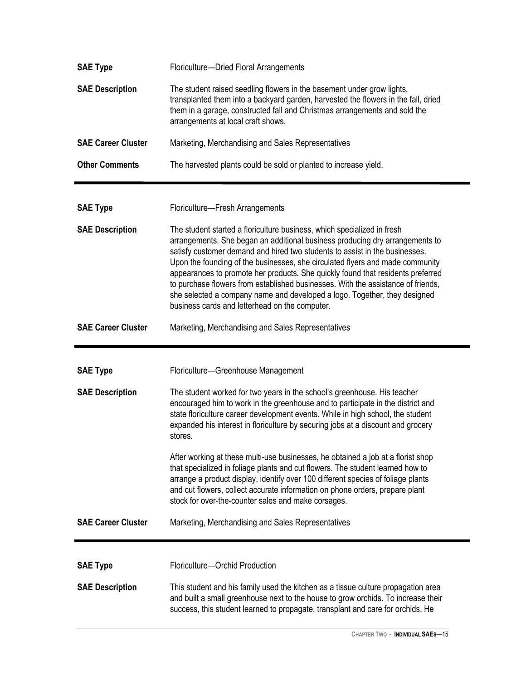| <b>SAE Type</b>                           | Floriculture-Dried Floral Arrangements                                                                                                                                                                                                                                                                                                                                                                                                                                                                                                                                                                                        |
|-------------------------------------------|-------------------------------------------------------------------------------------------------------------------------------------------------------------------------------------------------------------------------------------------------------------------------------------------------------------------------------------------------------------------------------------------------------------------------------------------------------------------------------------------------------------------------------------------------------------------------------------------------------------------------------|
| <b>SAE Description</b>                    | The student raised seedling flowers in the basement under grow lights,<br>transplanted them into a backyard garden, harvested the flowers in the fall, dried<br>them in a garage, constructed fall and Christmas arrangements and sold the<br>arrangements at local craft shows.                                                                                                                                                                                                                                                                                                                                              |
| <b>SAE Career Cluster</b>                 | Marketing, Merchandising and Sales Representatives                                                                                                                                                                                                                                                                                                                                                                                                                                                                                                                                                                            |
| <b>Other Comments</b>                     | The harvested plants could be sold or planted to increase yield.                                                                                                                                                                                                                                                                                                                                                                                                                                                                                                                                                              |
| <b>SAE Type</b>                           | Floriculture-Fresh Arrangements                                                                                                                                                                                                                                                                                                                                                                                                                                                                                                                                                                                               |
| <b>SAE Description</b>                    | The student started a floriculture business, which specialized in fresh<br>arrangements. She began an additional business producing dry arrangements to<br>satisfy customer demand and hired two students to assist in the businesses.<br>Upon the founding of the businesses, she circulated flyers and made community<br>appearances to promote her products. She quickly found that residents preferred<br>to purchase flowers from established businesses. With the assistance of friends,<br>she selected a company name and developed a logo. Together, they designed<br>business cards and letterhead on the computer. |
| <b>SAE Career Cluster</b>                 | Marketing, Merchandising and Sales Representatives                                                                                                                                                                                                                                                                                                                                                                                                                                                                                                                                                                            |
|                                           |                                                                                                                                                                                                                                                                                                                                                                                                                                                                                                                                                                                                                               |
|                                           |                                                                                                                                                                                                                                                                                                                                                                                                                                                                                                                                                                                                                               |
| <b>SAE Type</b><br><b>SAE Description</b> | Floriculture-Greenhouse Management<br>The student worked for two years in the school's greenhouse. His teacher<br>encouraged him to work in the greenhouse and to participate in the district and<br>state floriculture career development events. While in high school, the student<br>expanded his interest in floriculture by securing jobs at a discount and grocery<br>stores.                                                                                                                                                                                                                                           |
|                                           | After working at these multi-use businesses, he obtained a job at a florist shop<br>that specialized in foliage plants and cut flowers. The student learned how to<br>arrange a product display, identify over 100 different species of foliage plants<br>and cut flowers, collect accurate information on phone orders, prepare plant<br>stock for over-the-counter sales and make corsages.                                                                                                                                                                                                                                 |
| <b>SAE Career Cluster</b>                 | Marketing, Merchandising and Sales Representatives                                                                                                                                                                                                                                                                                                                                                                                                                                                                                                                                                                            |
| <b>SAE Type</b><br><b>SAE Description</b> | Floriculture-Orchid Production<br>This student and his family used the kitchen as a tissue culture propagation area                                                                                                                                                                                                                                                                                                                                                                                                                                                                                                           |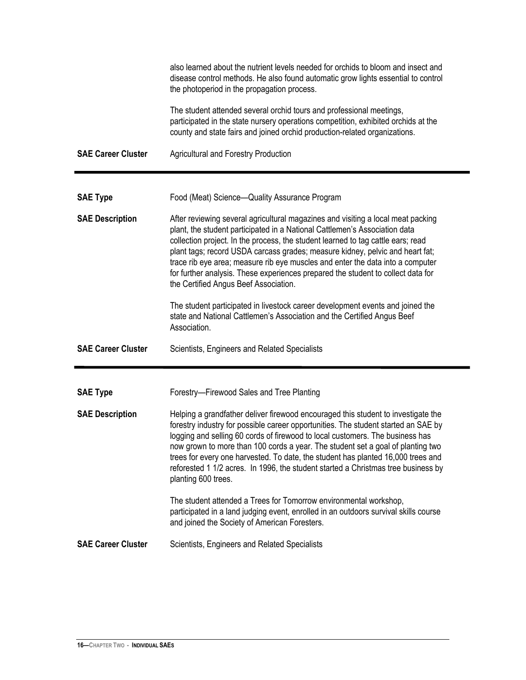|                           | also learned about the nutrient levels needed for orchids to bloom and insect and<br>disease control methods. He also found automatic grow lights essential to control<br>the photoperiod in the propagation process.<br>The student attended several orchid tours and professional meetings,<br>participated in the state nursery operations competition, exhibited orchids at the<br>county and state fairs and joined orchid production-related organizations.                                                                                  |
|---------------------------|----------------------------------------------------------------------------------------------------------------------------------------------------------------------------------------------------------------------------------------------------------------------------------------------------------------------------------------------------------------------------------------------------------------------------------------------------------------------------------------------------------------------------------------------------|
| <b>SAE Career Cluster</b> | <b>Agricultural and Forestry Production</b>                                                                                                                                                                                                                                                                                                                                                                                                                                                                                                        |
|                           |                                                                                                                                                                                                                                                                                                                                                                                                                                                                                                                                                    |
| <b>SAE Type</b>           | Food (Meat) Science-Quality Assurance Program                                                                                                                                                                                                                                                                                                                                                                                                                                                                                                      |
| <b>SAE Description</b>    | After reviewing several agricultural magazines and visiting a local meat packing<br>plant, the student participated in a National Cattlemen's Association data<br>collection project. In the process, the student learned to tag cattle ears; read<br>plant tags; record USDA carcass grades; measure kidney, pelvic and heart fat;<br>trace rib eye area; measure rib eye muscles and enter the data into a computer<br>for further analysis. These experiences prepared the student to collect data for<br>the Certified Angus Beef Association. |
|                           | The student participated in livestock career development events and joined the<br>state and National Cattlemen's Association and the Certified Angus Beef<br>Association.                                                                                                                                                                                                                                                                                                                                                                          |
| <b>SAE Career Cluster</b> | Scientists, Engineers and Related Specialists                                                                                                                                                                                                                                                                                                                                                                                                                                                                                                      |
| <b>SAE Type</b>           | Forestry-Firewood Sales and Tree Planting                                                                                                                                                                                                                                                                                                                                                                                                                                                                                                          |
| <b>SAE Description</b>    | Helping a grandfather deliver firewood encouraged this student to investigate the<br>forestry industry for possible career opportunities. The student started an SAE by<br>logging and selling 60 cords of firewood to local customers. The business has<br>now grown to more than 100 cords a year. The student set a goal of planting two<br>trees for every one harvested. To date, the student has planted 16,000 trees and<br>reforested 1 1/2 acres. In 1996, the student started a Christmas tree business by<br>planting 600 trees.        |
|                           | The student attended a Trees for Tomorrow environmental workshop,<br>participated in a land judging event, enrolled in an outdoors survival skills course<br>and joined the Society of American Foresters.                                                                                                                                                                                                                                                                                                                                         |
| <b>SAE Career Cluster</b> | Scientists, Engineers and Related Specialists                                                                                                                                                                                                                                                                                                                                                                                                                                                                                                      |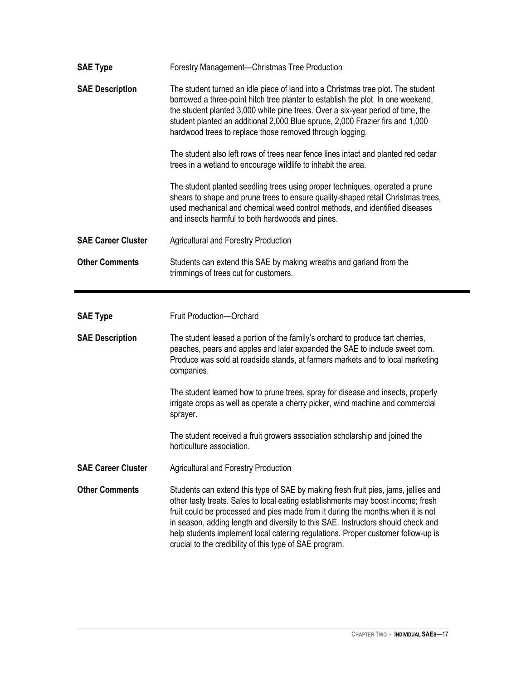| <b>SAE Type</b>           | Forestry Management-Christmas Tree Production                                                                                                                                                                                                                                                                                                                                                        |
|---------------------------|------------------------------------------------------------------------------------------------------------------------------------------------------------------------------------------------------------------------------------------------------------------------------------------------------------------------------------------------------------------------------------------------------|
| <b>SAE Description</b>    | The student turned an idle piece of land into a Christmas tree plot. The student<br>borrowed a three-point hitch tree planter to establish the plot. In one weekend,<br>the student planted 3,000 white pine trees. Over a six-year period of time, the<br>student planted an additional 2,000 Blue spruce, 2,000 Frazier firs and 1,000<br>hardwood trees to replace those removed through logging. |
|                           | The student also left rows of trees near fence lines intact and planted red cedar<br>trees in a wetland to encourage wildlife to inhabit the area.                                                                                                                                                                                                                                                   |
|                           | The student planted seedling trees using proper techniques, operated a prune<br>shears to shape and prune trees to ensure quality-shaped retail Christmas trees,<br>used mechanical and chemical weed control methods, and identified diseases<br>and insects harmful to both hardwoods and pines.                                                                                                   |
| <b>SAE Career Cluster</b> | <b>Agricultural and Forestry Production</b>                                                                                                                                                                                                                                                                                                                                                          |
| <b>Other Comments</b>     | Students can extend this SAE by making wreaths and garland from the<br>trimmings of trees cut for customers.                                                                                                                                                                                                                                                                                         |
|                           |                                                                                                                                                                                                                                                                                                                                                                                                      |
|                           |                                                                                                                                                                                                                                                                                                                                                                                                      |
| <b>SAE Type</b>           | Fruit Production-Orchard                                                                                                                                                                                                                                                                                                                                                                             |
| <b>SAE Description</b>    | The student leased a portion of the family's orchard to produce tart cherries,<br>peaches, pears and apples and later expanded the SAE to include sweet corn.<br>Produce was sold at roadside stands, at farmers markets and to local marketing<br>companies.                                                                                                                                        |
|                           | The student learned how to prune trees, spray for disease and insects, properly<br>irrigate crops as well as operate a cherry picker, wind machine and commercial<br>sprayer.                                                                                                                                                                                                                        |
|                           | The student received a fruit growers association scholarship and joined the<br>horticulture association.                                                                                                                                                                                                                                                                                             |
| <b>SAE Career Cluster</b> | <b>Agricultural and Forestry Production</b>                                                                                                                                                                                                                                                                                                                                                          |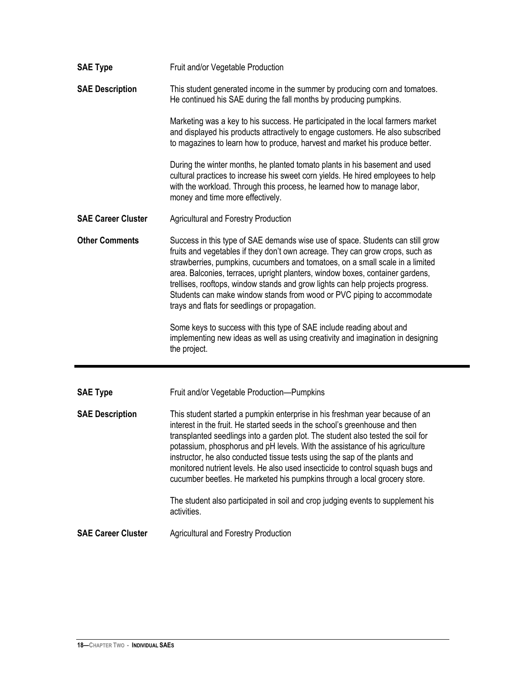| <b>SAE Type</b>           | Fruit and/or Vegetable Production                                                                                                                                                                                                                                                                                                                                                                                                                                                                                                              |
|---------------------------|------------------------------------------------------------------------------------------------------------------------------------------------------------------------------------------------------------------------------------------------------------------------------------------------------------------------------------------------------------------------------------------------------------------------------------------------------------------------------------------------------------------------------------------------|
| <b>SAE Description</b>    | This student generated income in the summer by producing corn and tomatoes.<br>He continued his SAE during the fall months by producing pumpkins.                                                                                                                                                                                                                                                                                                                                                                                              |
|                           | Marketing was a key to his success. He participated in the local farmers market<br>and displayed his products attractively to engage customers. He also subscribed<br>to magazines to learn how to produce, harvest and market his produce better.                                                                                                                                                                                                                                                                                             |
|                           | During the winter months, he planted tomato plants in his basement and used<br>cultural practices to increase his sweet corn yields. He hired employees to help<br>with the workload. Through this process, he learned how to manage labor,<br>money and time more effectively.                                                                                                                                                                                                                                                                |
| <b>SAE Career Cluster</b> | <b>Agricultural and Forestry Production</b>                                                                                                                                                                                                                                                                                                                                                                                                                                                                                                    |
| <b>Other Comments</b>     | Success in this type of SAE demands wise use of space. Students can still grow<br>fruits and vegetables if they don't own acreage. They can grow crops, such as<br>strawberries, pumpkins, cucumbers and tomatoes, on a small scale in a limited<br>area. Balconies, terraces, upright planters, window boxes, container gardens,<br>trellises, rooftops, window stands and grow lights can help projects progress.<br>Students can make window stands from wood or PVC piping to accommodate<br>trays and flats for seedlings or propagation. |
|                           | Some keys to success with this type of SAE include reading about and<br>implementing new ideas as well as using creativity and imagination in designing<br>the project.                                                                                                                                                                                                                                                                                                                                                                        |
|                           |                                                                                                                                                                                                                                                                                                                                                                                                                                                                                                                                                |
| <b>SAE Type</b>           | Fruit and/or Vegetable Production-Pumpkins                                                                                                                                                                                                                                                                                                                                                                                                                                                                                                     |
| <b>SAE Description</b>    | This student started a pumpkin enterprise in his freshman year because of an<br>interest in the fruit. He started seeds in the school's greenhouse and then<br>transplanted seedlings into a garden plot. The student also tested the soil for<br>potassium, phosphorus and pH levels. With the assistance of his agriculture<br>instructor, he also conducted tissue tests using the sap of the plants and                                                                                                                                    |
|                           | monitored nutrient levels. He also used insecticide to control squash bugs and<br>cucumber beetles. He marketed his pumpkins through a local grocery store.                                                                                                                                                                                                                                                                                                                                                                                    |
|                           | The student also participated in soil and crop judging events to supplement his<br>activities.                                                                                                                                                                                                                                                                                                                                                                                                                                                 |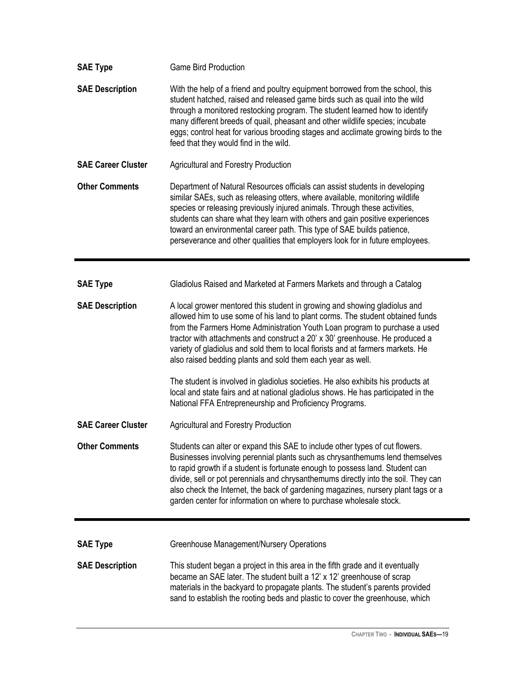| <b>SAE Type</b>           | <b>Game Bird Production</b>                                                                                                                                                                                                                                                                                                                                                                                                                                                                                                                                                                                                                                                                                     |
|---------------------------|-----------------------------------------------------------------------------------------------------------------------------------------------------------------------------------------------------------------------------------------------------------------------------------------------------------------------------------------------------------------------------------------------------------------------------------------------------------------------------------------------------------------------------------------------------------------------------------------------------------------------------------------------------------------------------------------------------------------|
| <b>SAE Description</b>    | With the help of a friend and poultry equipment borrowed from the school, this<br>student hatched, raised and released game birds such as quail into the wild<br>through a monitored restocking program. The student learned how to identify<br>many different breeds of quail, pheasant and other wildlife species; incubate<br>eggs; control heat for various brooding stages and acclimate growing birds to the<br>feed that they would find in the wild.                                                                                                                                                                                                                                                    |
| <b>SAE Career Cluster</b> | <b>Agricultural and Forestry Production</b>                                                                                                                                                                                                                                                                                                                                                                                                                                                                                                                                                                                                                                                                     |
| <b>Other Comments</b>     | Department of Natural Resources officials can assist students in developing<br>similar SAEs, such as releasing otters, where available, monitoring wildlife<br>species or releasing previously injured animals. Through these activities,<br>students can share what they learn with others and gain positive experiences<br>toward an environmental career path. This type of SAE builds patience,<br>perseverance and other qualities that employers look for in future employees.                                                                                                                                                                                                                            |
| <b>SAE Type</b>           | Gladiolus Raised and Marketed at Farmers Markets and through a Catalog                                                                                                                                                                                                                                                                                                                                                                                                                                                                                                                                                                                                                                          |
|                           |                                                                                                                                                                                                                                                                                                                                                                                                                                                                                                                                                                                                                                                                                                                 |
| <b>SAE Description</b>    | A local grower mentored this student in growing and showing gladiolus and<br>allowed him to use some of his land to plant corms. The student obtained funds<br>from the Farmers Home Administration Youth Loan program to purchase a used<br>tractor with attachments and construct a 20' x 30' greenhouse. He produced a<br>variety of gladiolus and sold them to local florists and at farmers markets. He<br>also raised bedding plants and sold them each year as well.<br>The student is involved in gladiolus societies. He also exhibits his products at<br>local and state fairs and at national gladiolus shows. He has participated in the<br>National FFA Entrepreneurship and Proficiency Programs. |
| <b>SAE Career Cluster</b> | <b>Agricultural and Forestry Production</b>                                                                                                                                                                                                                                                                                                                                                                                                                                                                                                                                                                                                                                                                     |
| <b>Other Comments</b>     | Students can alter or expand this SAE to include other types of cut flowers.<br>Businesses involving perennial plants such as chrysanthemums lend themselves<br>to rapid growth if a student is fortunate enough to possess land. Student can<br>divide, sell or pot perennials and chrysanthemums directly into the soil. They can<br>also check the Internet, the back of gardening magazines, nursery plant tags or a<br>garden center for information on where to purchase wholesale stock.                                                                                                                                                                                                                 |
|                           |                                                                                                                                                                                                                                                                                                                                                                                                                                                                                                                                                                                                                                                                                                                 |
| <b>SAE Type</b>           | <b>Greenhouse Management/Nursery Operations</b>                                                                                                                                                                                                                                                                                                                                                                                                                                                                                                                                                                                                                                                                 |
| <b>SAE Description</b>    | This student began a project in this area in the fifth grade and it eventually<br>became an SAE later. The student built a 12' x 12' greenhouse of scrap<br>materials in the backyard to propagate plants. The student's parents provided<br>sand to establish the rooting beds and plastic to cover the greenhouse, which                                                                                                                                                                                                                                                                                                                                                                                      |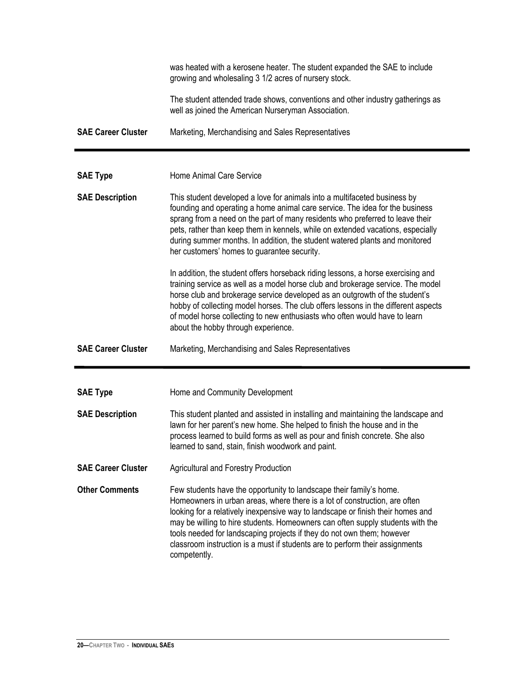|                           | was heated with a kerosene heater. The student expanded the SAE to include<br>growing and wholesaling 3 1/2 acres of nursery stock.                                                                                                                                                                                                                                                                                                                                                              |
|---------------------------|--------------------------------------------------------------------------------------------------------------------------------------------------------------------------------------------------------------------------------------------------------------------------------------------------------------------------------------------------------------------------------------------------------------------------------------------------------------------------------------------------|
|                           | The student attended trade shows, conventions and other industry gatherings as<br>well as joined the American Nurseryman Association.                                                                                                                                                                                                                                                                                                                                                            |
| <b>SAE Career Cluster</b> | Marketing, Merchandising and Sales Representatives                                                                                                                                                                                                                                                                                                                                                                                                                                               |
|                           |                                                                                                                                                                                                                                                                                                                                                                                                                                                                                                  |
| <b>SAE Type</b>           | Home Animal Care Service                                                                                                                                                                                                                                                                                                                                                                                                                                                                         |
| <b>SAE Description</b>    | This student developed a love for animals into a multifaceted business by<br>founding and operating a home animal care service. The idea for the business<br>sprang from a need on the part of many residents who preferred to leave their<br>pets, rather than keep them in kennels, while on extended vacations, especially<br>during summer months. In addition, the student watered plants and monitored<br>her customers' homes to guarantee security.                                      |
|                           | In addition, the student offers horseback riding lessons, a horse exercising and<br>training service as well as a model horse club and brokerage service. The model<br>horse club and brokerage service developed as an outgrowth of the student's<br>hobby of collecting model horses. The club offers lessons in the different aspects<br>of model horse collecting to new enthusiasts who often would have to learn<br>about the hobby through experience.                                    |
| <b>SAE Career Cluster</b> | Marketing, Merchandising and Sales Representatives                                                                                                                                                                                                                                                                                                                                                                                                                                               |
|                           |                                                                                                                                                                                                                                                                                                                                                                                                                                                                                                  |
| <b>SAE Type</b>           | Home and Community Development                                                                                                                                                                                                                                                                                                                                                                                                                                                                   |
| <b>SAE Description</b>    | This student planted and assisted in installing and maintaining the landscape and<br>lawn for her parent's new home. She helped to finish the house and in the<br>process learned to build forms as well as pour and finish concrete. She also<br>learned to sand, stain, finish woodwork and paint.                                                                                                                                                                                             |
| <b>SAE Career Cluster</b> | <b>Agricultural and Forestry Production</b>                                                                                                                                                                                                                                                                                                                                                                                                                                                      |
| <b>Other Comments</b>     | Few students have the opportunity to landscape their family's home.<br>Homeowners in urban areas, where there is a lot of construction, are often<br>looking for a relatively inexpensive way to landscape or finish their homes and<br>may be willing to hire students. Homeowners can often supply students with the<br>tools needed for landscaping projects if they do not own them; however<br>classroom instruction is a must if students are to perform their assignments<br>competently. |

 $\blacksquare$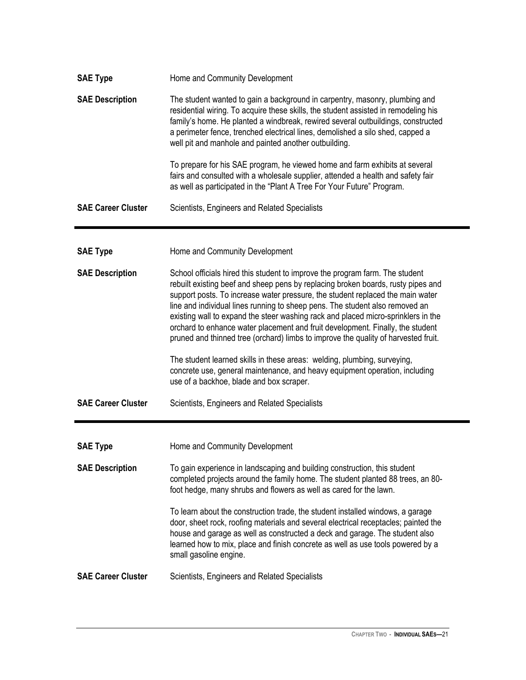| <b>SAE Type</b>           | Home and Community Development                                                                                                                                                                                                                                                                                                                                                                                                                                                                                                                                                                  |
|---------------------------|-------------------------------------------------------------------------------------------------------------------------------------------------------------------------------------------------------------------------------------------------------------------------------------------------------------------------------------------------------------------------------------------------------------------------------------------------------------------------------------------------------------------------------------------------------------------------------------------------|
| <b>SAE Description</b>    | The student wanted to gain a background in carpentry, masonry, plumbing and<br>residential wiring. To acquire these skills, the student assisted in remodeling his<br>family's home. He planted a windbreak, rewired several outbuildings, constructed<br>a perimeter fence, trenched electrical lines, demolished a silo shed, capped a<br>well pit and manhole and painted another outbuilding.                                                                                                                                                                                               |
|                           | To prepare for his SAE program, he viewed home and farm exhibits at several<br>fairs and consulted with a wholesale supplier, attended a health and safety fair<br>as well as participated in the "Plant A Tree For Your Future" Program.                                                                                                                                                                                                                                                                                                                                                       |
| <b>SAE Career Cluster</b> | Scientists, Engineers and Related Specialists                                                                                                                                                                                                                                                                                                                                                                                                                                                                                                                                                   |
|                           |                                                                                                                                                                                                                                                                                                                                                                                                                                                                                                                                                                                                 |
| <b>SAE Type</b>           | Home and Community Development                                                                                                                                                                                                                                                                                                                                                                                                                                                                                                                                                                  |
| <b>SAE Description</b>    | School officials hired this student to improve the program farm. The student<br>rebuilt existing beef and sheep pens by replacing broken boards, rusty pipes and<br>support posts. To increase water pressure, the student replaced the main water<br>line and individual lines running to sheep pens. The student also removed an<br>existing wall to expand the steer washing rack and placed micro-sprinklers in the<br>orchard to enhance water placement and fruit development. Finally, the student<br>pruned and thinned tree (orchard) limbs to improve the quality of harvested fruit. |
|                           | The student learned skills in these areas: welding, plumbing, surveying,<br>concrete use, general maintenance, and heavy equipment operation, including<br>use of a backhoe, blade and box scraper.                                                                                                                                                                                                                                                                                                                                                                                             |
| <b>SAE Career Cluster</b> | Scientists, Engineers and Related Specialists                                                                                                                                                                                                                                                                                                                                                                                                                                                                                                                                                   |
|                           |                                                                                                                                                                                                                                                                                                                                                                                                                                                                                                                                                                                                 |
| <b>SAE Type</b>           | Home and Community Development                                                                                                                                                                                                                                                                                                                                                                                                                                                                                                                                                                  |
| <b>SAE Description</b>    | To gain experience in landscaping and building construction, this student<br>completed projects around the family home. The student planted 88 trees, an 80-<br>foot hedge, many shrubs and flowers as well as cared for the lawn.                                                                                                                                                                                                                                                                                                                                                              |
|                           | To learn about the construction trade, the student installed windows, a garage<br>door, sheet rock, roofing materials and several electrical receptacles; painted the<br>house and garage as well as constructed a deck and garage. The student also<br>learned how to mix, place and finish concrete as well as use tools powered by a<br>small gasoline engine.                                                                                                                                                                                                                               |
| <b>SAE Career Cluster</b> | Scientists, Engineers and Related Specialists                                                                                                                                                                                                                                                                                                                                                                                                                                                                                                                                                   |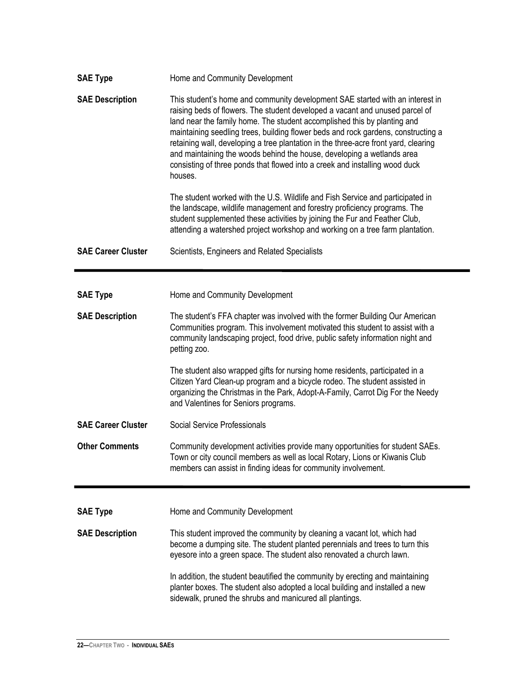| <b>SAE Type</b>           | Home and Community Development                                                                                                                                                                                                                                                                                                                                                                                                                                                                                                                                                            |
|---------------------------|-------------------------------------------------------------------------------------------------------------------------------------------------------------------------------------------------------------------------------------------------------------------------------------------------------------------------------------------------------------------------------------------------------------------------------------------------------------------------------------------------------------------------------------------------------------------------------------------|
| <b>SAE Description</b>    | This student's home and community development SAE started with an interest in<br>raising beds of flowers. The student developed a vacant and unused parcel of<br>land near the family home. The student accomplished this by planting and<br>maintaining seedling trees, building flower beds and rock gardens, constructing a<br>retaining wall, developing a tree plantation in the three-acre front yard, clearing<br>and maintaining the woods behind the house, developing a wetlands area<br>consisting of three ponds that flowed into a creek and installing wood duck<br>houses. |
|                           | The student worked with the U.S. Wildlife and Fish Service and participated in<br>the landscape, wildlife management and forestry proficiency programs. The<br>student supplemented these activities by joining the Fur and Feather Club,<br>attending a watershed project workshop and working on a tree farm plantation.                                                                                                                                                                                                                                                                |
| <b>SAE Career Cluster</b> | Scientists, Engineers and Related Specialists                                                                                                                                                                                                                                                                                                                                                                                                                                                                                                                                             |
|                           |                                                                                                                                                                                                                                                                                                                                                                                                                                                                                                                                                                                           |
| <b>SAE Type</b>           | Home and Community Development                                                                                                                                                                                                                                                                                                                                                                                                                                                                                                                                                            |
| <b>SAE Description</b>    | The student's FFA chapter was involved with the former Building Our American<br>Communities program. This involvement motivated this student to assist with a<br>community landscaping project, food drive, public safety information night and<br>petting zoo.                                                                                                                                                                                                                                                                                                                           |
|                           | The student also wrapped gifts for nursing home residents, participated in a<br>Citizen Yard Clean-up program and a bicycle rodeo. The student assisted in<br>organizing the Christmas in the Park, Adopt-A-Family, Carrot Dig For the Needy<br>and Valentines for Seniors programs.                                                                                                                                                                                                                                                                                                      |
| <b>SAE Career Cluster</b> | Social Service Professionals                                                                                                                                                                                                                                                                                                                                                                                                                                                                                                                                                              |
| <b>Other Comments</b>     | Community development activities provide many opportunities for student SAEs.<br>Town or city council members as well as local Rotary, Lions or Kiwanis Club<br>members can assist in finding ideas for community involvement.                                                                                                                                                                                                                                                                                                                                                            |
|                           |                                                                                                                                                                                                                                                                                                                                                                                                                                                                                                                                                                                           |
| <b>SAE Type</b>           | Home and Community Development                                                                                                                                                                                                                                                                                                                                                                                                                                                                                                                                                            |
| <b>SAE Description</b>    | This student improved the community by cleaning a vacant lot, which had<br>become a dumping site. The student planted perennials and trees to turn this<br>eyesore into a green space. The student also renovated a church lawn.                                                                                                                                                                                                                                                                                                                                                          |
|                           | In addition, the student beautified the community by erecting and maintaining<br>planter boxes. The student also adopted a local building and installed a new<br>sidewalk, pruned the shrubs and manicured all plantings.                                                                                                                                                                                                                                                                                                                                                                 |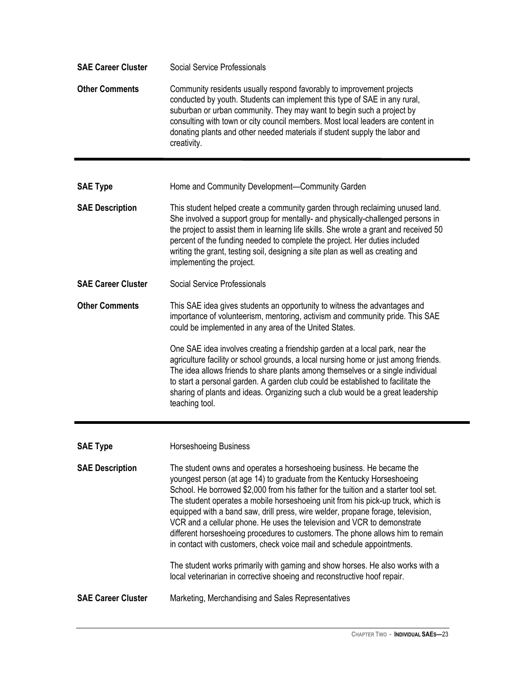| <b>SAE Career Cluster</b> | <b>Social Service Professionals</b>                                                                                                                                                                                                                                                                                                                                                                                                                                                                                                                                                                                                                 |
|---------------------------|-----------------------------------------------------------------------------------------------------------------------------------------------------------------------------------------------------------------------------------------------------------------------------------------------------------------------------------------------------------------------------------------------------------------------------------------------------------------------------------------------------------------------------------------------------------------------------------------------------------------------------------------------------|
| <b>Other Comments</b>     | Community residents usually respond favorably to improvement projects<br>conducted by youth. Students can implement this type of SAE in any rural,<br>suburban or urban community. They may want to begin such a project by<br>consulting with town or city council members. Most local leaders are content in<br>donating plants and other needed materials if student supply the labor and<br>creativity.                                                                                                                                                                                                                                         |
| <b>SAE Type</b>           | Home and Community Development-Community Garden                                                                                                                                                                                                                                                                                                                                                                                                                                                                                                                                                                                                     |
| <b>SAE Description</b>    | This student helped create a community garden through reclaiming unused land.<br>She involved a support group for mentally- and physically-challenged persons in<br>the project to assist them in learning life skills. She wrote a grant and received 50<br>percent of the funding needed to complete the project. Her duties included<br>writing the grant, testing soil, designing a site plan as well as creating and<br>implementing the project.                                                                                                                                                                                              |
| <b>SAE Career Cluster</b> | <b>Social Service Professionals</b>                                                                                                                                                                                                                                                                                                                                                                                                                                                                                                                                                                                                                 |
| <b>Other Comments</b>     | This SAE idea gives students an opportunity to witness the advantages and<br>importance of volunteerism, mentoring, activism and community pride. This SAE<br>could be implemented in any area of the United States.                                                                                                                                                                                                                                                                                                                                                                                                                                |
|                           | One SAE idea involves creating a friendship garden at a local park, near the<br>agriculture facility or school grounds, a local nursing home or just among friends.<br>The idea allows friends to share plants among themselves or a single individual<br>to start a personal garden. A garden club could be established to facilitate the<br>sharing of plants and ideas. Organizing such a club would be a great leadership<br>teaching tool.                                                                                                                                                                                                     |
| <b>SAE Type</b>           | Horseshoeing Business                                                                                                                                                                                                                                                                                                                                                                                                                                                                                                                                                                                                                               |
| <b>SAE Description</b>    | The student owns and operates a horseshoeing business. He became the<br>youngest person (at age 14) to graduate from the Kentucky Horseshoeing<br>School. He borrowed \$2,000 from his father for the tuition and a starter tool set.<br>The student operates a mobile horseshoeing unit from his pick-up truck, which is<br>equipped with a band saw, drill press, wire welder, propane forage, television,<br>VCR and a cellular phone. He uses the television and VCR to demonstrate<br>different horseshoeing procedures to customers. The phone allows him to remain<br>in contact with customers, check voice mail and schedule appointments. |
|                           | The student works primarily with gaming and show horses. He also works with a<br>local veterinarian in corrective shoeing and reconstructive hoof repair.                                                                                                                                                                                                                                                                                                                                                                                                                                                                                           |
| <b>SAE Career Cluster</b> | Marketing, Merchandising and Sales Representatives                                                                                                                                                                                                                                                                                                                                                                                                                                                                                                                                                                                                  |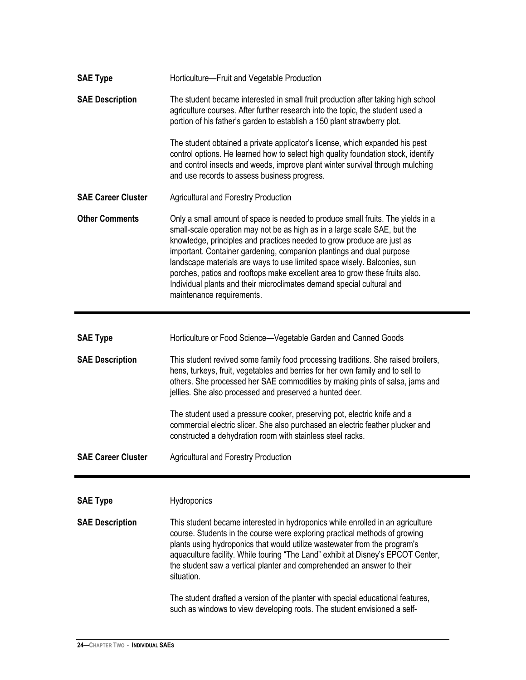| <b>SAE Type</b>           | Horticulture-Fruit and Vegetable Production                                                                                                                                                                                                                                                                                                                                                                                                                                                                                                                                     |
|---------------------------|---------------------------------------------------------------------------------------------------------------------------------------------------------------------------------------------------------------------------------------------------------------------------------------------------------------------------------------------------------------------------------------------------------------------------------------------------------------------------------------------------------------------------------------------------------------------------------|
| <b>SAE Description</b>    | The student became interested in small fruit production after taking high school<br>agriculture courses. After further research into the topic, the student used a<br>portion of his father's garden to establish a 150 plant strawberry plot.                                                                                                                                                                                                                                                                                                                                  |
|                           | The student obtained a private applicator's license, which expanded his pest<br>control options. He learned how to select high quality foundation stock, identify<br>and control insects and weeds, improve plant winter survival through mulching<br>and use records to assess business progress.                                                                                                                                                                                                                                                                              |
| <b>SAE Career Cluster</b> | <b>Agricultural and Forestry Production</b>                                                                                                                                                                                                                                                                                                                                                                                                                                                                                                                                     |
| <b>Other Comments</b>     | Only a small amount of space is needed to produce small fruits. The yields in a<br>small-scale operation may not be as high as in a large scale SAE, but the<br>knowledge, principles and practices needed to grow produce are just as<br>important. Container gardening, companion plantings and dual purpose<br>landscape materials are ways to use limited space wisely. Balconies, sun<br>porches, patios and rooftops make excellent area to grow these fruits also.<br>Individual plants and their microclimates demand special cultural and<br>maintenance requirements. |
|                           |                                                                                                                                                                                                                                                                                                                                                                                                                                                                                                                                                                                 |
| <b>SAE Type</b>           | Horticulture or Food Science-Vegetable Garden and Canned Goods                                                                                                                                                                                                                                                                                                                                                                                                                                                                                                                  |
| <b>SAE Description</b>    | This student revived some family food processing traditions. She raised broilers,<br>hens, turkeys, fruit, vegetables and berries for her own family and to sell to<br>others. She processed her SAE commodities by making pints of salsa, jams and<br>jellies. She also processed and preserved a hunted deer.                                                                                                                                                                                                                                                                 |
|                           | The student used a pressure cooker, preserving pot, electric knife and a<br>commercial electric slicer. She also purchased an electric feather plucker and<br>constructed a dehydration room with stainless steel racks.                                                                                                                                                                                                                                                                                                                                                        |
| <b>SAE Career Cluster</b> | <b>Agricultural and Forestry Production</b>                                                                                                                                                                                                                                                                                                                                                                                                                                                                                                                                     |
|                           |                                                                                                                                                                                                                                                                                                                                                                                                                                                                                                                                                                                 |
| <b>SAE Type</b>           | Hydroponics                                                                                                                                                                                                                                                                                                                                                                                                                                                                                                                                                                     |
| <b>SAE Description</b>    | This student became interested in hydroponics while enrolled in an agriculture                                                                                                                                                                                                                                                                                                                                                                                                                                                                                                  |
|                           | course. Students in the course were exploring practical methods of growing<br>plants using hydroponics that would utilize wastewater from the program's<br>aquaculture facility. While touring "The Land" exhibit at Disney's EPCOT Center,<br>the student saw a vertical planter and comprehended an answer to their<br>situation.                                                                                                                                                                                                                                             |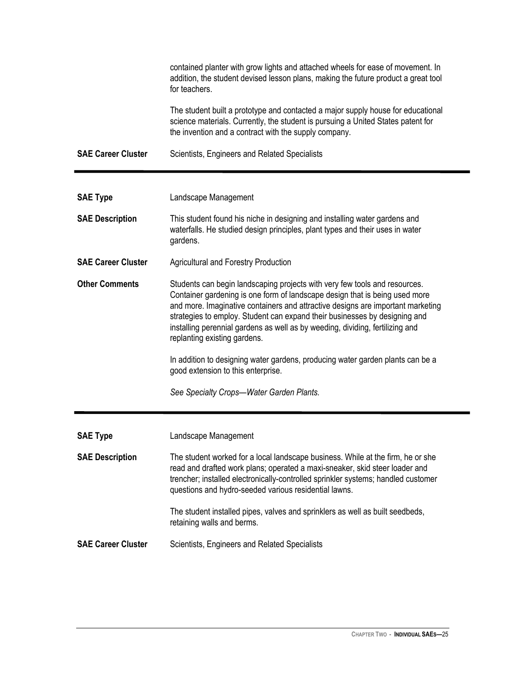|                           | contained planter with grow lights and attached wheels for ease of movement. In<br>addition, the student devised lesson plans, making the future product a great tool<br>for teachers.                                                                                                                                                                                                                                                                                                                                        |
|---------------------------|-------------------------------------------------------------------------------------------------------------------------------------------------------------------------------------------------------------------------------------------------------------------------------------------------------------------------------------------------------------------------------------------------------------------------------------------------------------------------------------------------------------------------------|
|                           | The student built a prototype and contacted a major supply house for educational<br>science materials. Currently, the student is pursuing a United States patent for<br>the invention and a contract with the supply company.                                                                                                                                                                                                                                                                                                 |
| <b>SAE Career Cluster</b> | Scientists, Engineers and Related Specialists                                                                                                                                                                                                                                                                                                                                                                                                                                                                                 |
|                           |                                                                                                                                                                                                                                                                                                                                                                                                                                                                                                                               |
| <b>SAE Type</b>           | Landscape Management                                                                                                                                                                                                                                                                                                                                                                                                                                                                                                          |
| <b>SAE Description</b>    | This student found his niche in designing and installing water gardens and<br>waterfalls. He studied design principles, plant types and their uses in water<br>gardens.                                                                                                                                                                                                                                                                                                                                                       |
| <b>SAE Career Cluster</b> | <b>Agricultural and Forestry Production</b>                                                                                                                                                                                                                                                                                                                                                                                                                                                                                   |
| <b>Other Comments</b>     | Students can begin landscaping projects with very few tools and resources.<br>Container gardening is one form of landscape design that is being used more<br>and more. Imaginative containers and attractive designs are important marketing<br>strategies to employ. Student can expand their businesses by designing and<br>installing perennial gardens as well as by weeding, dividing, fertilizing and<br>replanting existing gardens.<br>In addition to designing water gardens, producing water garden plants can be a |
|                           | good extension to this enterprise.                                                                                                                                                                                                                                                                                                                                                                                                                                                                                            |
|                           | See Specialty Crops-Water Garden Plants.                                                                                                                                                                                                                                                                                                                                                                                                                                                                                      |
| <b>SAE Type</b>           | Landscape Management                                                                                                                                                                                                                                                                                                                                                                                                                                                                                                          |
|                           |                                                                                                                                                                                                                                                                                                                                                                                                                                                                                                                               |
| <b>SAE Description</b>    | The student worked for a local landscape business. While at the firm, he or she<br>read and drafted work plans; operated a maxi-sneaker, skid steer loader and<br>trencher; installed electronically-controlled sprinkler systems; handled customer<br>questions and hydro-seeded various residential lawns.                                                                                                                                                                                                                  |
|                           | The student installed pipes, valves and sprinklers as well as built seedbeds,<br>retaining walls and berms.                                                                                                                                                                                                                                                                                                                                                                                                                   |
| <b>SAE Career Cluster</b> | Scientists, Engineers and Related Specialists                                                                                                                                                                                                                                                                                                                                                                                                                                                                                 |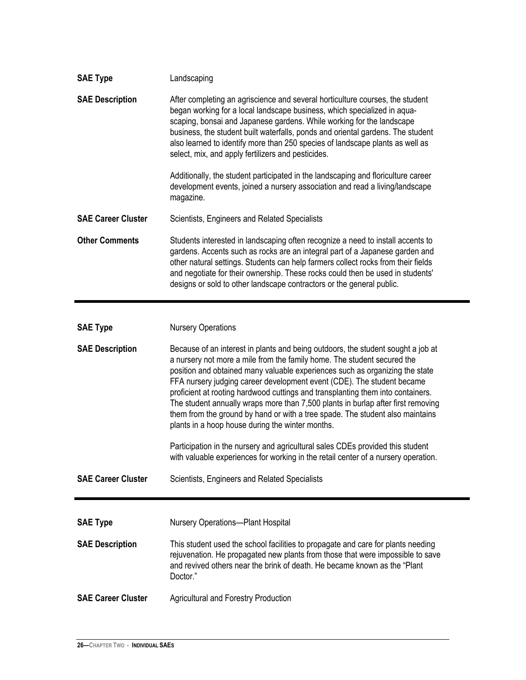| <b>SAE Type</b>           | Landscaping                                                                                                                                                                                                                                                                                                                                                                                                                                                        |
|---------------------------|--------------------------------------------------------------------------------------------------------------------------------------------------------------------------------------------------------------------------------------------------------------------------------------------------------------------------------------------------------------------------------------------------------------------------------------------------------------------|
| <b>SAE Description</b>    | After completing an agriscience and several horticulture courses, the student<br>began working for a local landscape business, which specialized in aqua-<br>scaping, bonsai and Japanese gardens. While working for the landscape<br>business, the student built waterfalls, ponds and oriental gardens. The student<br>also learned to identify more than 250 species of landscape plants as well as<br>select, mix, and apply fertilizers and pesticides.       |
|                           | Additionally, the student participated in the landscaping and floriculture career<br>development events, joined a nursery association and read a living/landscape<br>magazine.                                                                                                                                                                                                                                                                                     |
| <b>SAE Career Cluster</b> | Scientists, Engineers and Related Specialists                                                                                                                                                                                                                                                                                                                                                                                                                      |
| <b>Other Comments</b>     | Students interested in landscaping often recognize a need to install accents to<br>gardens. Accents such as rocks are an integral part of a Japanese garden and<br>other natural settings. Students can help farmers collect rocks from their fields<br>and negotiate for their ownership. These rocks could then be used in students'<br>designs or sold to other landscape contractors or the general public.                                                    |
| <b>SAE Type</b>           | <b>Nursery Operations</b>                                                                                                                                                                                                                                                                                                                                                                                                                                          |
| <b>SAE Description</b>    | Because of an interest in plants and being outdoors, the student sought a job at<br>a nursery not more a mile from the family home. The student secured the                                                                                                                                                                                                                                                                                                        |
|                           | position and obtained many valuable experiences such as organizing the state<br>FFA nursery judging career development event (CDE). The student became<br>proficient at rooting hardwood cuttings and transplanting them into containers.<br>The student annually wraps more than 7,500 plants in burlap after first removing<br>them from the ground by hand or with a tree spade. The student also maintains<br>plants in a hoop house during the winter months. |
|                           | Participation in the nursery and agricultural sales CDEs provided this student<br>with valuable experiences for working in the retail center of a nursery operation.                                                                                                                                                                                                                                                                                               |
| <b>SAE Career Cluster</b> | Scientists, Engineers and Related Specialists                                                                                                                                                                                                                                                                                                                                                                                                                      |
|                           |                                                                                                                                                                                                                                                                                                                                                                                                                                                                    |
| <b>SAE Type</b>           | <b>Nursery Operations-Plant Hospital</b>                                                                                                                                                                                                                                                                                                                                                                                                                           |
| <b>SAE Description</b>    | This student used the school facilities to propagate and care for plants needing<br>rejuvenation. He propagated new plants from those that were impossible to save<br>and revived others near the brink of death. He became known as the "Plant"<br>Doctor."                                                                                                                                                                                                       |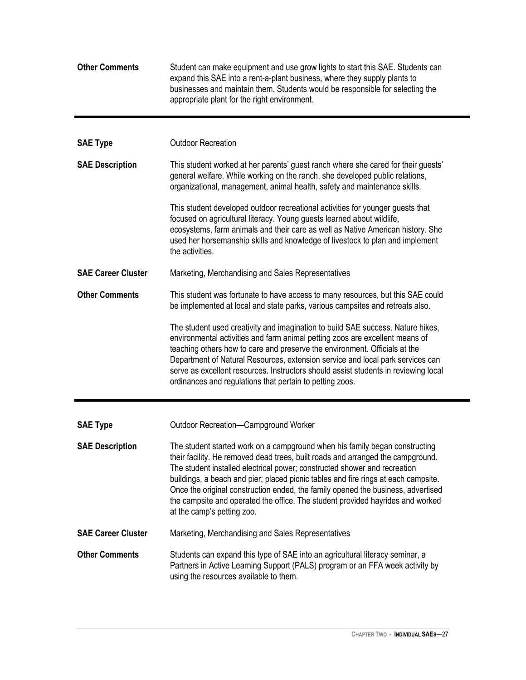| <b>Other Comments</b>     | Student can make equipment and use grow lights to start this SAE. Students can<br>expand this SAE into a rent-a-plant business, where they supply plants to<br>businesses and maintain them. Students would be responsible for selecting the<br>appropriate plant for the right environment.                                                                                                                                                                                                                                          |
|---------------------------|---------------------------------------------------------------------------------------------------------------------------------------------------------------------------------------------------------------------------------------------------------------------------------------------------------------------------------------------------------------------------------------------------------------------------------------------------------------------------------------------------------------------------------------|
| <b>SAE Type</b>           | <b>Outdoor Recreation</b>                                                                                                                                                                                                                                                                                                                                                                                                                                                                                                             |
| <b>SAE Description</b>    | This student worked at her parents' guest ranch where she cared for their guests'<br>general welfare. While working on the ranch, she developed public relations,<br>organizational, management, animal health, safety and maintenance skills.                                                                                                                                                                                                                                                                                        |
|                           | This student developed outdoor recreational activities for younger guests that<br>focused on agricultural literacy. Young guests learned about wildlife,<br>ecosystems, farm animals and their care as well as Native American history. She<br>used her horsemanship skills and knowledge of livestock to plan and implement<br>the activities.                                                                                                                                                                                       |
| <b>SAE Career Cluster</b> | Marketing, Merchandising and Sales Representatives                                                                                                                                                                                                                                                                                                                                                                                                                                                                                    |
| <b>Other Comments</b>     | This student was fortunate to have access to many resources, but this SAE could<br>be implemented at local and state parks, various campsites and retreats also.                                                                                                                                                                                                                                                                                                                                                                      |
|                           | The student used creativity and imagination to build SAE success. Nature hikes,<br>environmental activities and farm animal petting zoos are excellent means of<br>teaching others how to care and preserve the environment. Officials at the<br>Department of Natural Resources, extension service and local park services can<br>serve as excellent resources. Instructors should assist students in reviewing local<br>ordinances and regulations that pertain to petting zoos.                                                    |
| <b>SAE Type</b>           | Outdoor Recreation-Campground Worker                                                                                                                                                                                                                                                                                                                                                                                                                                                                                                  |
| <b>SAE Description</b>    | The student started work on a campground when his family began constructing<br>their facility. He removed dead trees, built roads and arranged the campground.<br>The student installed electrical power; constructed shower and recreation<br>buildings, a beach and pier; placed picnic tables and fire rings at each campsite.<br>Once the original construction ended, the family opened the business, advertised<br>the campsite and operated the office. The student provided hayrides and worked<br>at the camp's petting zoo. |
| <b>SAE Career Cluster</b> | Marketing, Merchandising and Sales Representatives                                                                                                                                                                                                                                                                                                                                                                                                                                                                                    |
| <b>Other Comments</b>     | Students can expand this type of SAE into an agricultural literacy seminar, a<br>Partners in Active Learning Support (PALS) program or an FFA week activity by<br>using the resources available to them.                                                                                                                                                                                                                                                                                                                              |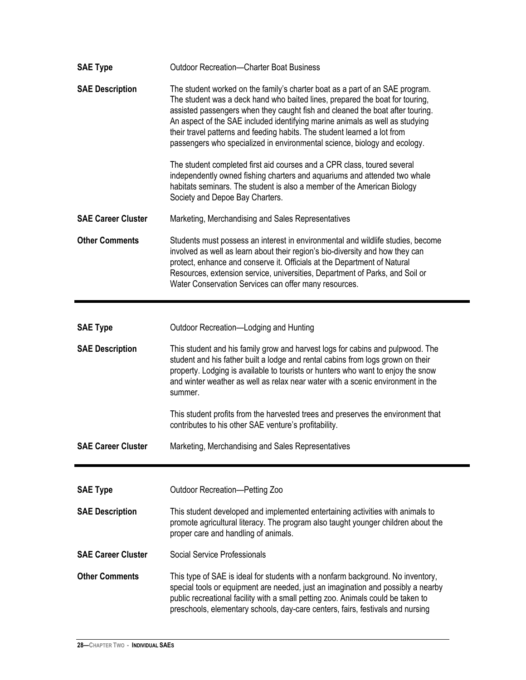| <b>SAE Type</b>           | <b>Outdoor Recreation-Charter Boat Business</b>                                                                                                                                                                                                                                                                                                                                                                                                                                        |
|---------------------------|----------------------------------------------------------------------------------------------------------------------------------------------------------------------------------------------------------------------------------------------------------------------------------------------------------------------------------------------------------------------------------------------------------------------------------------------------------------------------------------|
| <b>SAE Description</b>    | The student worked on the family's charter boat as a part of an SAE program.<br>The student was a deck hand who baited lines, prepared the boat for touring,<br>assisted passengers when they caught fish and cleaned the boat after touring.<br>An aspect of the SAE included identifying marine animals as well as studying<br>their travel patterns and feeding habits. The student learned a lot from<br>passengers who specialized in environmental science, biology and ecology. |
|                           | The student completed first aid courses and a CPR class, toured several<br>independently owned fishing charters and aquariums and attended two whale<br>habitats seminars. The student is also a member of the American Biology<br>Society and Depoe Bay Charters.                                                                                                                                                                                                                     |
| <b>SAE Career Cluster</b> | Marketing, Merchandising and Sales Representatives                                                                                                                                                                                                                                                                                                                                                                                                                                     |
| <b>Other Comments</b>     | Students must possess an interest in environmental and wildlife studies, become<br>involved as well as learn about their region's bio-diversity and how they can<br>protect, enhance and conserve it. Officials at the Department of Natural<br>Resources, extension service, universities, Department of Parks, and Soil or<br>Water Conservation Services can offer many resources.                                                                                                  |
|                           |                                                                                                                                                                                                                                                                                                                                                                                                                                                                                        |
| <b>SAE Type</b>           | Outdoor Recreation-Lodging and Hunting                                                                                                                                                                                                                                                                                                                                                                                                                                                 |
| <b>SAE Description</b>    | This student and his family grow and harvest logs for cabins and pulpwood. The<br>student and his father built a lodge and rental cabins from logs grown on their<br>property. Lodging is available to tourists or hunters who want to enjoy the snow<br>and winter weather as well as relax near water with a scenic environment in the<br>summer.                                                                                                                                    |
|                           | This student profits from the harvested trees and preserves the environment that<br>contributes to his other SAE venture's profitability.                                                                                                                                                                                                                                                                                                                                              |
| <b>SAE Career Cluster</b> | Marketing, Merchandising and Sales Representatives                                                                                                                                                                                                                                                                                                                                                                                                                                     |
|                           |                                                                                                                                                                                                                                                                                                                                                                                                                                                                                        |
| <b>SAE Type</b>           | Outdoor Recreation-Petting Zoo                                                                                                                                                                                                                                                                                                                                                                                                                                                         |
| <b>SAE Description</b>    | This student developed and implemented entertaining activities with animals to<br>promote agricultural literacy. The program also taught younger children about the<br>proper care and handling of animals.                                                                                                                                                                                                                                                                            |
| <b>SAE Career Cluster</b> | <b>Social Service Professionals</b>                                                                                                                                                                                                                                                                                                                                                                                                                                                    |
| <b>Other Comments</b>     | This type of SAE is ideal for students with a nonfarm background. No inventory,<br>special tools or equipment are needed, just an imagination and possibly a nearby<br>public recreational facility with a small petting zoo. Animals could be taken to<br>preschools, elementary schools, day-care centers, fairs, festivals and nursing                                                                                                                                              |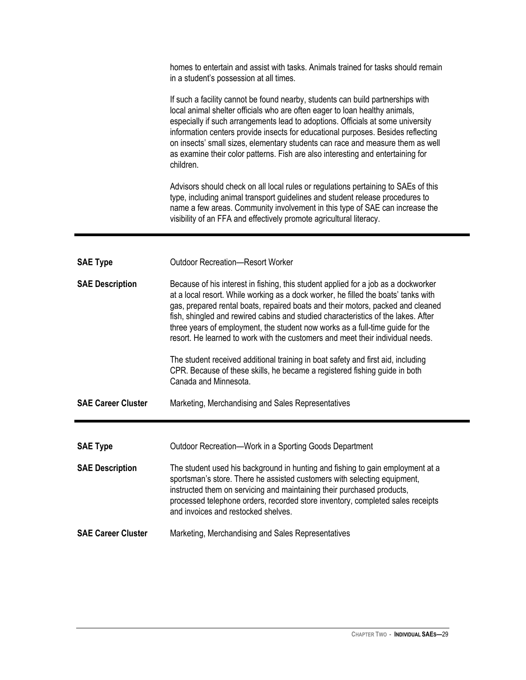homes to entertain and assist with tasks. Animals trained for tasks should remain in a student's possession at all times.

If such a facility cannot be found nearby, students can build partnerships with local animal shelter officials who are often eager to loan healthy animals, especially if such arrangements lead to adoptions. Officials at some university information centers provide insects for educational purposes. Besides reflecting on insects' small sizes, elementary students can race and measure them as well as examine their color patterns. Fish are also interesting and entertaining for children.

Advisors should check on all local rules or regulations pertaining to SAEs of this type, including animal transport guidelines and student release procedures to name a few areas. Community involvement in this type of SAE can increase the visibility of an FFA and effectively promote agricultural literacy.

| <b>SAE Type</b>           | Outdoor Recreation—Resort Worker                                                                                                                                                                                                                                                                                                                                                                                                                                                                                                                                                                                                                                                                               |
|---------------------------|----------------------------------------------------------------------------------------------------------------------------------------------------------------------------------------------------------------------------------------------------------------------------------------------------------------------------------------------------------------------------------------------------------------------------------------------------------------------------------------------------------------------------------------------------------------------------------------------------------------------------------------------------------------------------------------------------------------|
| <b>SAE Description</b>    | Because of his interest in fishing, this student applied for a job as a dockworker<br>at a local resort. While working as a dock worker, he filled the boats' tanks with<br>gas, prepared rental boats, repaired boats and their motors, packed and cleaned<br>fish, shingled and rewired cabins and studied characteristics of the lakes. After<br>three years of employment, the student now works as a full-time guide for the<br>resort. He learned to work with the customers and meet their individual needs.<br>The student received additional training in boat safety and first aid, including<br>CPR. Because of these skills, he became a registered fishing guide in both<br>Canada and Minnesota. |
| <b>SAE Career Cluster</b> | Marketing, Merchandising and Sales Representatives                                                                                                                                                                                                                                                                                                                                                                                                                                                                                                                                                                                                                                                             |
|                           |                                                                                                                                                                                                                                                                                                                                                                                                                                                                                                                                                                                                                                                                                                                |
|                           |                                                                                                                                                                                                                                                                                                                                                                                                                                                                                                                                                                                                                                                                                                                |
| <b>SAE Type</b>           | Outdoor Recreation—Work in a Sporting Goods Department                                                                                                                                                                                                                                                                                                                                                                                                                                                                                                                                                                                                                                                         |
| <b>SAE Description</b>    | The student used his background in hunting and fishing to gain employment at a<br>sportsman's store. There he assisted customers with selecting equipment,<br>instructed them on servicing and maintaining their purchased products,<br>processed telephone orders, recorded store inventory, completed sales receipts<br>and invoices and restocked shelves.                                                                                                                                                                                                                                                                                                                                                  |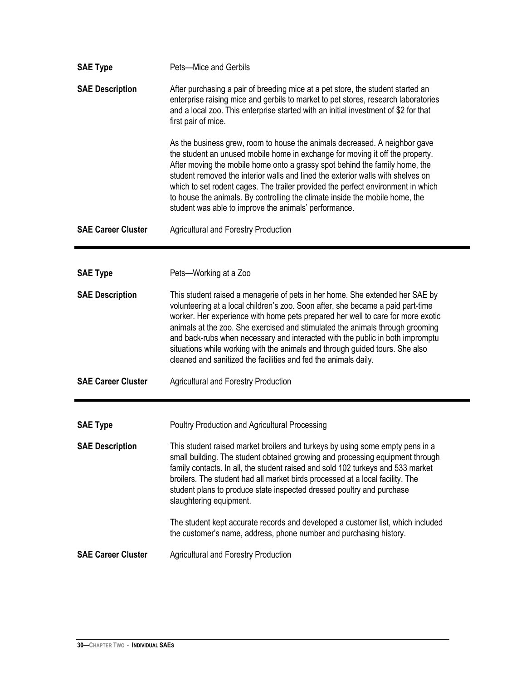| <b>SAE Type</b>           | Pets-Mice and Gerbils                                                                                                                                                                                                                                                                                                                                                                                                                                                                                                                                                   |
|---------------------------|-------------------------------------------------------------------------------------------------------------------------------------------------------------------------------------------------------------------------------------------------------------------------------------------------------------------------------------------------------------------------------------------------------------------------------------------------------------------------------------------------------------------------------------------------------------------------|
| <b>SAE Description</b>    | After purchasing a pair of breeding mice at a pet store, the student started an<br>enterprise raising mice and gerbils to market to pet stores, research laboratories<br>and a local zoo. This enterprise started with an initial investment of \$2 for that<br>first pair of mice.                                                                                                                                                                                                                                                                                     |
|                           | As the business grew, room to house the animals decreased. A neighbor gave<br>the student an unused mobile home in exchange for moving it off the property.<br>After moving the mobile home onto a grassy spot behind the family home, the<br>student removed the interior walls and lined the exterior walls with shelves on<br>which to set rodent cages. The trailer provided the perfect environment in which<br>to house the animals. By controlling the climate inside the mobile home, the<br>student was able to improve the animals' performance.              |
| <b>SAE Career Cluster</b> | <b>Agricultural and Forestry Production</b>                                                                                                                                                                                                                                                                                                                                                                                                                                                                                                                             |
|                           |                                                                                                                                                                                                                                                                                                                                                                                                                                                                                                                                                                         |
| <b>SAE Type</b>           | Pets-Working at a Zoo                                                                                                                                                                                                                                                                                                                                                                                                                                                                                                                                                   |
| <b>SAE Description</b>    | This student raised a menagerie of pets in her home. She extended her SAE by<br>volunteering at a local children's zoo. Soon after, she became a paid part-time<br>worker. Her experience with home pets prepared her well to care for more exotic<br>animals at the zoo. She exercised and stimulated the animals through grooming<br>and back-rubs when necessary and interacted with the public in both impromptu<br>situations while working with the animals and through guided tours. She also<br>cleaned and sanitized the facilities and fed the animals daily. |
| <b>SAE Career Cluster</b> | <b>Agricultural and Forestry Production</b>                                                                                                                                                                                                                                                                                                                                                                                                                                                                                                                             |
|                           |                                                                                                                                                                                                                                                                                                                                                                                                                                                                                                                                                                         |
| <b>SAE Type</b>           | <b>Poultry Production and Agricultural Processing</b>                                                                                                                                                                                                                                                                                                                                                                                                                                                                                                                   |
| <b>SAE Description</b>    | This student raised market broilers and turkeys by using some empty pens in a<br>small building. The student obtained growing and processing equipment through<br>family contacts. In all, the student raised and sold 102 turkeys and 533 market<br>broilers. The student had all market birds processed at a local facility. The<br>student plans to produce state inspected dressed poultry and purchase<br>slaughtering equipment.                                                                                                                                  |
|                           | The student kept accurate records and developed a customer list, which included<br>the customer's name, address, phone number and purchasing history.                                                                                                                                                                                                                                                                                                                                                                                                                   |
| <b>SAE Career Cluster</b> | <b>Agricultural and Forestry Production</b>                                                                                                                                                                                                                                                                                                                                                                                                                                                                                                                             |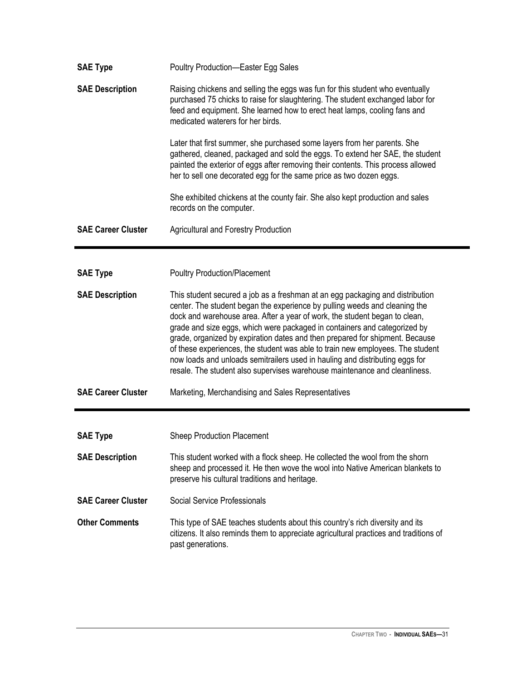| <b>SAE Type</b>           | Poultry Production-Easter Egg Sales                                                                                                                                                                                                                                                                                                                                                                                                                                                                                                                                                                                                                    |
|---------------------------|--------------------------------------------------------------------------------------------------------------------------------------------------------------------------------------------------------------------------------------------------------------------------------------------------------------------------------------------------------------------------------------------------------------------------------------------------------------------------------------------------------------------------------------------------------------------------------------------------------------------------------------------------------|
| <b>SAE Description</b>    | Raising chickens and selling the eggs was fun for this student who eventually<br>purchased 75 chicks to raise for slaughtering. The student exchanged labor for<br>feed and equipment. She learned how to erect heat lamps, cooling fans and<br>medicated waterers for her birds.                                                                                                                                                                                                                                                                                                                                                                      |
|                           | Later that first summer, she purchased some layers from her parents. She<br>gathered, cleaned, packaged and sold the eggs. To extend her SAE, the student<br>painted the exterior of eggs after removing their contents. This process allowed<br>her to sell one decorated egg for the same price as two dozen eggs.                                                                                                                                                                                                                                                                                                                                   |
|                           | She exhibited chickens at the county fair. She also kept production and sales<br>records on the computer.                                                                                                                                                                                                                                                                                                                                                                                                                                                                                                                                              |
| <b>SAE Career Cluster</b> | <b>Agricultural and Forestry Production</b>                                                                                                                                                                                                                                                                                                                                                                                                                                                                                                                                                                                                            |
|                           |                                                                                                                                                                                                                                                                                                                                                                                                                                                                                                                                                                                                                                                        |
| <b>SAE Type</b>           | <b>Poultry Production/Placement</b>                                                                                                                                                                                                                                                                                                                                                                                                                                                                                                                                                                                                                    |
| <b>SAE Description</b>    | This student secured a job as a freshman at an egg packaging and distribution<br>center. The student began the experience by pulling weeds and cleaning the<br>dock and warehouse area. After a year of work, the student began to clean,<br>grade and size eggs, which were packaged in containers and categorized by<br>grade, organized by expiration dates and then prepared for shipment. Because<br>of these experiences, the student was able to train new employees. The student<br>now loads and unloads semitrailers used in hauling and distributing eggs for<br>resale. The student also supervises warehouse maintenance and cleanliness. |
| <b>SAE Career Cluster</b> | Marketing, Merchandising and Sales Representatives                                                                                                                                                                                                                                                                                                                                                                                                                                                                                                                                                                                                     |
|                           |                                                                                                                                                                                                                                                                                                                                                                                                                                                                                                                                                                                                                                                        |
| <b>SAE Type</b>           | <b>Sheep Production Placement</b>                                                                                                                                                                                                                                                                                                                                                                                                                                                                                                                                                                                                                      |
| <b>SAE Description</b>    | This student worked with a flock sheep. He collected the wool from the shorn<br>sheep and processed it. He then wove the wool into Native American blankets to<br>preserve his cultural traditions and heritage.                                                                                                                                                                                                                                                                                                                                                                                                                                       |
| <b>SAE Career Cluster</b> | Social Service Professionals                                                                                                                                                                                                                                                                                                                                                                                                                                                                                                                                                                                                                           |
| <b>Other Comments</b>     | This type of SAE teaches students about this country's rich diversity and its<br>citizens. It also reminds them to appreciate agricultural practices and traditions of<br>past generations.                                                                                                                                                                                                                                                                                                                                                                                                                                                            |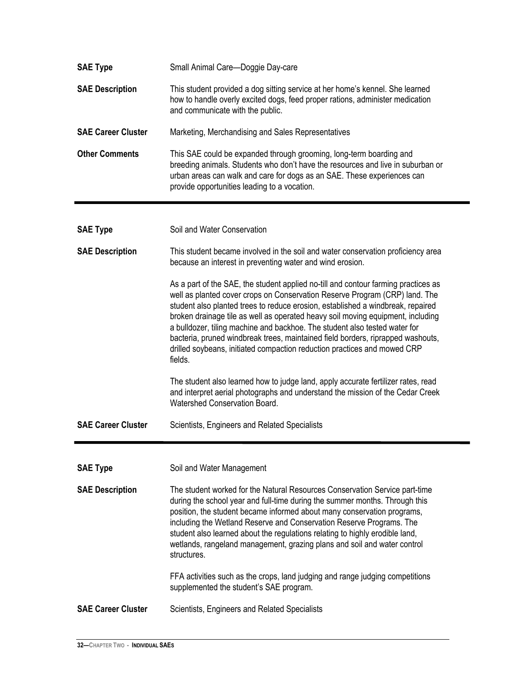| <b>SAE Type</b>           | Small Animal Care-Doggie Day-care                                                                                                                                                                                                                                                                                                                                                                                                                                                                                                                                                               |
|---------------------------|-------------------------------------------------------------------------------------------------------------------------------------------------------------------------------------------------------------------------------------------------------------------------------------------------------------------------------------------------------------------------------------------------------------------------------------------------------------------------------------------------------------------------------------------------------------------------------------------------|
| <b>SAE Description</b>    | This student provided a dog sitting service at her home's kennel. She learned<br>how to handle overly excited dogs, feed proper rations, administer medication<br>and communicate with the public.                                                                                                                                                                                                                                                                                                                                                                                              |
| <b>SAE Career Cluster</b> | Marketing, Merchandising and Sales Representatives                                                                                                                                                                                                                                                                                                                                                                                                                                                                                                                                              |
| <b>Other Comments</b>     | This SAE could be expanded through grooming, long-term boarding and<br>breeding animals. Students who don't have the resources and live in suburban or<br>urban areas can walk and care for dogs as an SAE. These experiences can<br>provide opportunities leading to a vocation.                                                                                                                                                                                                                                                                                                               |
|                           |                                                                                                                                                                                                                                                                                                                                                                                                                                                                                                                                                                                                 |
| <b>SAE Type</b>           | Soil and Water Conservation                                                                                                                                                                                                                                                                                                                                                                                                                                                                                                                                                                     |
| <b>SAE Description</b>    | This student became involved in the soil and water conservation proficiency area<br>because an interest in preventing water and wind erosion.                                                                                                                                                                                                                                                                                                                                                                                                                                                   |
|                           | As a part of the SAE, the student applied no-till and contour farming practices as<br>well as planted cover crops on Conservation Reserve Program (CRP) land. The<br>student also planted trees to reduce erosion, established a windbreak, repaired<br>broken drainage tile as well as operated heavy soil moving equipment, including<br>a bulldozer, tiling machine and backhoe. The student also tested water for<br>bacteria, pruned windbreak trees, maintained field borders, riprapped washouts,<br>drilled soybeans, initiated compaction reduction practices and mowed CRP<br>fields. |
|                           | The student also learned how to judge land, apply accurate fertilizer rates, read<br>and interpret aerial photographs and understand the mission of the Cedar Creek<br>Watershed Conservation Board.                                                                                                                                                                                                                                                                                                                                                                                            |
| <b>SAE Career Cluster</b> | Scientists, Engineers and Related Specialists                                                                                                                                                                                                                                                                                                                                                                                                                                                                                                                                                   |
|                           |                                                                                                                                                                                                                                                                                                                                                                                                                                                                                                                                                                                                 |
| <b>SAE Type</b>           | Soil and Water Management                                                                                                                                                                                                                                                                                                                                                                                                                                                                                                                                                                       |
| <b>SAE Description</b>    | The student worked for the Natural Resources Conservation Service part-time<br>during the school year and full-time during the summer months. Through this<br>position, the student became informed about many conservation programs,<br>including the Wetland Reserve and Conservation Reserve Programs. The<br>student also learned about the regulations relating to highly erodible land,<br>wetlands, rangeland management, grazing plans and soil and water control<br>structures.                                                                                                        |
|                           | FFA activities such as the crops, land judging and range judging competitions<br>supplemented the student's SAE program.                                                                                                                                                                                                                                                                                                                                                                                                                                                                        |
| <b>SAE Career Cluster</b> | Scientists, Engineers and Related Specialists                                                                                                                                                                                                                                                                                                                                                                                                                                                                                                                                                   |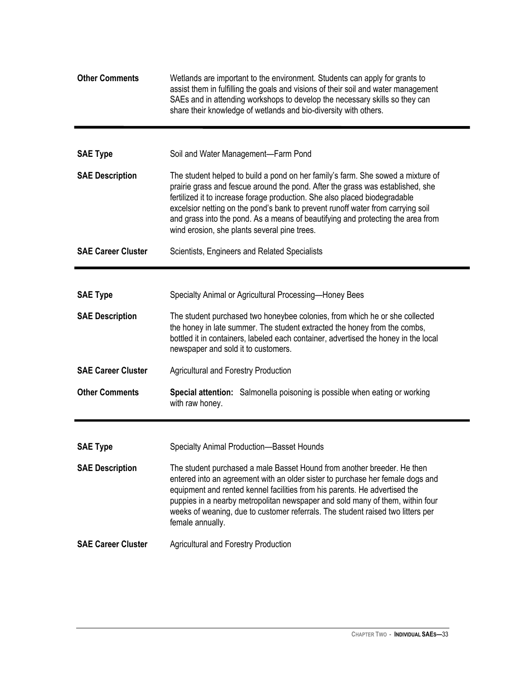| <b>Other Comments</b>     | Wetlands are important to the environment. Students can apply for grants to<br>assist them in fulfilling the goals and visions of their soil and water management<br>SAEs and in attending workshops to develop the necessary skills so they can<br>share their knowledge of wetlands and bio-diversity with others.                                                                                                                                                  |
|---------------------------|-----------------------------------------------------------------------------------------------------------------------------------------------------------------------------------------------------------------------------------------------------------------------------------------------------------------------------------------------------------------------------------------------------------------------------------------------------------------------|
|                           |                                                                                                                                                                                                                                                                                                                                                                                                                                                                       |
| <b>SAE Type</b>           | Soil and Water Management-Farm Pond                                                                                                                                                                                                                                                                                                                                                                                                                                   |
| <b>SAE Description</b>    | The student helped to build a pond on her family's farm. She sowed a mixture of<br>prairie grass and fescue around the pond. After the grass was established, she<br>fertilized it to increase forage production. She also placed biodegradable<br>excelsior netting on the pond's bank to prevent runoff water from carrying soil<br>and grass into the pond. As a means of beautifying and protecting the area from<br>wind erosion, she plants several pine trees. |
| <b>SAE Career Cluster</b> | Scientists, Engineers and Related Specialists                                                                                                                                                                                                                                                                                                                                                                                                                         |
|                           |                                                                                                                                                                                                                                                                                                                                                                                                                                                                       |
| <b>SAE Type</b>           | Specialty Animal or Agricultural Processing-Honey Bees                                                                                                                                                                                                                                                                                                                                                                                                                |
| <b>SAE Description</b>    | The student purchased two honeybee colonies, from which he or she collected<br>the honey in late summer. The student extracted the honey from the combs,<br>bottled it in containers, labeled each container, advertised the honey in the local<br>newspaper and sold it to customers.                                                                                                                                                                                |
| <b>SAE Career Cluster</b> | <b>Agricultural and Forestry Production</b>                                                                                                                                                                                                                                                                                                                                                                                                                           |
| <b>Other Comments</b>     | Special attention: Salmonella poisoning is possible when eating or working<br>with raw honey.                                                                                                                                                                                                                                                                                                                                                                         |
|                           |                                                                                                                                                                                                                                                                                                                                                                                                                                                                       |
| <b>SAE Type</b>           | Specialty Animal Production-Basset Hounds                                                                                                                                                                                                                                                                                                                                                                                                                             |
| <b>SAE Description</b>    | The student purchased a male Basset Hound from another breeder. He then<br>entered into an agreement with an older sister to purchase her female dogs and<br>equipment and rented kennel facilities from his parents. He advertised the<br>puppies in a nearby metropolitan newspaper and sold many of them, within four<br>weeks of weaning, due to customer referrals. The student raised two litters per<br>female annually.                                       |
| <b>SAE Career Cluster</b> | <b>Agricultural and Forestry Production</b>                                                                                                                                                                                                                                                                                                                                                                                                                           |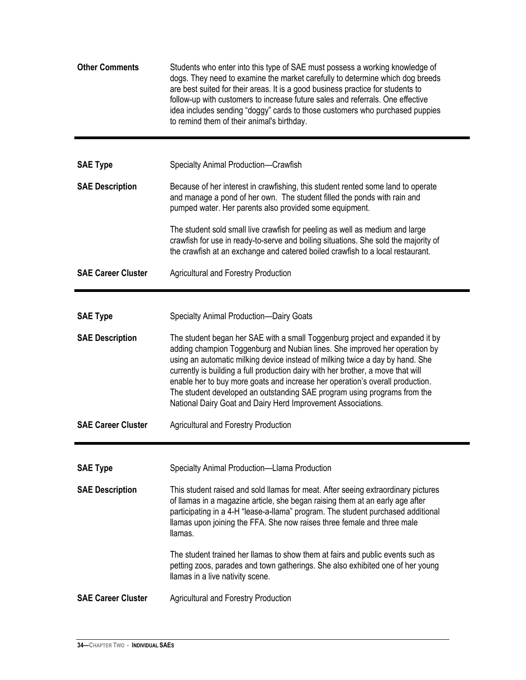| <b>Other Comments</b>     | Students who enter into this type of SAE must possess a working knowledge of<br>dogs. They need to examine the market carefully to determine which dog breeds<br>are best suited for their areas. It is a good business practice for students to<br>follow-up with customers to increase future sales and referrals. One effective<br>idea includes sending "doggy" cards to those customers who purchased puppies<br>to remind them of their animal's birthday.                                                                                             |
|---------------------------|--------------------------------------------------------------------------------------------------------------------------------------------------------------------------------------------------------------------------------------------------------------------------------------------------------------------------------------------------------------------------------------------------------------------------------------------------------------------------------------------------------------------------------------------------------------|
| <b>SAE Type</b>           | Specialty Animal Production-Crawfish                                                                                                                                                                                                                                                                                                                                                                                                                                                                                                                         |
| <b>SAE Description</b>    | Because of her interest in crawfishing, this student rented some land to operate<br>and manage a pond of her own. The student filled the ponds with rain and<br>pumped water. Her parents also provided some equipment.                                                                                                                                                                                                                                                                                                                                      |
|                           | The student sold small live crawfish for peeling as well as medium and large<br>crawfish for use in ready-to-serve and boiling situations. She sold the majority of<br>the crawfish at an exchange and catered boiled crawfish to a local restaurant.                                                                                                                                                                                                                                                                                                        |
| <b>SAE Career Cluster</b> | <b>Agricultural and Forestry Production</b>                                                                                                                                                                                                                                                                                                                                                                                                                                                                                                                  |
|                           |                                                                                                                                                                                                                                                                                                                                                                                                                                                                                                                                                              |
| <b>SAE Type</b>           | <b>Specialty Animal Production-Dairy Goats</b>                                                                                                                                                                                                                                                                                                                                                                                                                                                                                                               |
| <b>SAE Description</b>    | The student began her SAE with a small Toggenburg project and expanded it by<br>adding champion Toggenburg and Nubian lines. She improved her operation by<br>using an automatic milking device instead of milking twice a day by hand. She<br>currently is building a full production dairy with her brother, a move that will<br>enable her to buy more goats and increase her operation's overall production.<br>The student developed an outstanding SAE program using programs from the<br>National Dairy Goat and Dairy Herd Improvement Associations. |
| <b>SAE Career Cluster</b> | <b>Agricultural and Forestry Production</b>                                                                                                                                                                                                                                                                                                                                                                                                                                                                                                                  |
|                           |                                                                                                                                                                                                                                                                                                                                                                                                                                                                                                                                                              |
| <b>SAE Type</b>           | Specialty Animal Production-Llama Production                                                                                                                                                                                                                                                                                                                                                                                                                                                                                                                 |
| <b>SAE Description</b>    | This student raised and sold llamas for meat. After seeing extraordinary pictures<br>of llamas in a magazine article, she began raising them at an early age after<br>participating in a 4-H "lease-a-llama" program. The student purchased additional<br>Ilamas upon joining the FFA. She now raises three female and three male<br>llamas.                                                                                                                                                                                                                 |
|                           | The student trained her llamas to show them at fairs and public events such as<br>petting zoos, parades and town gatherings. She also exhibited one of her young<br>llamas in a live nativity scene.                                                                                                                                                                                                                                                                                                                                                         |
| <b>SAE Career Cluster</b> | <b>Agricultural and Forestry Production</b>                                                                                                                                                                                                                                                                                                                                                                                                                                                                                                                  |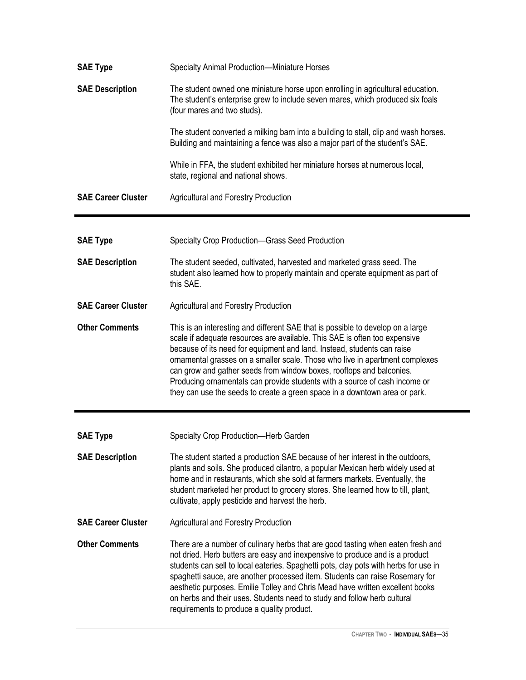| <b>SAE Type</b>           | Specialty Animal Production-Miniature Horses                                                                                                                                                                                                                                                                                                                                                                                                                                                                                                                 |
|---------------------------|--------------------------------------------------------------------------------------------------------------------------------------------------------------------------------------------------------------------------------------------------------------------------------------------------------------------------------------------------------------------------------------------------------------------------------------------------------------------------------------------------------------------------------------------------------------|
| <b>SAE Description</b>    | The student owned one miniature horse upon enrolling in agricultural education.<br>The student's enterprise grew to include seven mares, which produced six foals<br>(four mares and two studs).                                                                                                                                                                                                                                                                                                                                                             |
|                           | The student converted a milking barn into a building to stall, clip and wash horses.<br>Building and maintaining a fence was also a major part of the student's SAE.                                                                                                                                                                                                                                                                                                                                                                                         |
|                           | While in FFA, the student exhibited her miniature horses at numerous local,<br>state, regional and national shows.                                                                                                                                                                                                                                                                                                                                                                                                                                           |
| <b>SAE Career Cluster</b> | <b>Agricultural and Forestry Production</b>                                                                                                                                                                                                                                                                                                                                                                                                                                                                                                                  |
|                           |                                                                                                                                                                                                                                                                                                                                                                                                                                                                                                                                                              |
| <b>SAE Type</b>           | Specialty Crop Production-Grass Seed Production                                                                                                                                                                                                                                                                                                                                                                                                                                                                                                              |
| <b>SAE Description</b>    | The student seeded, cultivated, harvested and marketed grass seed. The<br>student also learned how to properly maintain and operate equipment as part of<br>this SAE.                                                                                                                                                                                                                                                                                                                                                                                        |
| <b>SAE Career Cluster</b> | <b>Agricultural and Forestry Production</b>                                                                                                                                                                                                                                                                                                                                                                                                                                                                                                                  |
| <b>Other Comments</b>     | This is an interesting and different SAE that is possible to develop on a large<br>scale if adequate resources are available. This SAE is often too expensive<br>because of its need for equipment and land. Instead, students can raise<br>ornamental grasses on a smaller scale. Those who live in apartment complexes<br>can grow and gather seeds from window boxes, rooftops and balconies.<br>Producing ornamentals can provide students with a source of cash income or<br>they can use the seeds to create a green space in a downtown area or park. |
| <b>SAE Type</b>           | Specialty Crop Production-Herb Garden                                                                                                                                                                                                                                                                                                                                                                                                                                                                                                                        |
| <b>SAE Description</b>    | The student started a production SAE because of her interest in the outdoors,<br>plants and soils. She produced cilantro, a popular Mexican herb widely used at<br>home and in restaurants, which she sold at farmers markets. Eventually, the<br>student marketed her product to grocery stores. She learned how to till, plant,<br>cultivate, apply pesticide and harvest the herb.                                                                                                                                                                        |
| <b>SAE Career Cluster</b> | <b>Agricultural and Forestry Production</b>                                                                                                                                                                                                                                                                                                                                                                                                                                                                                                                  |
| <b>Other Comments</b>     | There are a number of culinary herbs that are good tasting when eaten fresh and<br>not dried. Herb butters are easy and inexpensive to produce and is a product<br>students can sell to local eateries. Spaghetti pots, clay pots with herbs for use in<br>spaghetti sauce, are another processed item. Students can raise Rosemary for<br>aesthetic purposes. Emilie Tolley and Chris Mead have written excellent books<br>on herbs and their uses. Students need to study and follow herb cultural<br>requirements to produce a quality product.           |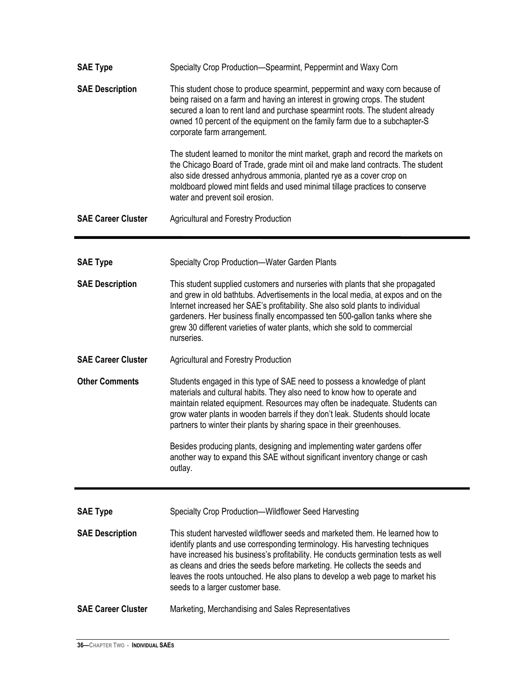| <b>SAE Type</b>           | Specialty Crop Production-Spearmint, Peppermint and Waxy Corn                                                                                                                                                                                                                                                                                                                                                                                        |
|---------------------------|------------------------------------------------------------------------------------------------------------------------------------------------------------------------------------------------------------------------------------------------------------------------------------------------------------------------------------------------------------------------------------------------------------------------------------------------------|
| <b>SAE Description</b>    | This student chose to produce spearmint, peppermint and waxy corn because of<br>being raised on a farm and having an interest in growing crops. The student<br>secured a loan to rent land and purchase spearmint roots. The student already<br>owned 10 percent of the equipment on the family farm due to a subchapter-S<br>corporate farm arrangement.                                                                                            |
|                           | The student learned to monitor the mint market, graph and record the markets on<br>the Chicago Board of Trade, grade mint oil and make land contracts. The student<br>also side dressed anhydrous ammonia, planted rye as a cover crop on<br>moldboard plowed mint fields and used minimal tillage practices to conserve<br>water and prevent soil erosion.                                                                                          |
| <b>SAE Career Cluster</b> | <b>Agricultural and Forestry Production</b>                                                                                                                                                                                                                                                                                                                                                                                                          |
| <b>SAE Type</b>           | Specialty Crop Production-Water Garden Plants                                                                                                                                                                                                                                                                                                                                                                                                        |
| <b>SAE Description</b>    | This student supplied customers and nurseries with plants that she propagated<br>and grew in old bathtubs. Advertisements in the local media, at expos and on the<br>Internet increased her SAE's profitability. She also sold plants to individual<br>gardeners. Her business finally encompassed ten 500-gallon tanks where she<br>grew 30 different varieties of water plants, which she sold to commercial<br>nurseries.                         |
| <b>SAE Career Cluster</b> | <b>Agricultural and Forestry Production</b>                                                                                                                                                                                                                                                                                                                                                                                                          |
| <b>Other Comments</b>     | Students engaged in this type of SAE need to possess a knowledge of plant<br>materials and cultural habits. They also need to know how to operate and<br>maintain related equipment. Resources may often be inadequate. Students can<br>grow water plants in wooden barrels if they don't leak. Students should locate<br>partners to winter their plants by sharing space in their greenhouses.                                                     |
|                           | Besides producing plants, designing and implementing water gardens offer<br>another way to expand this SAE without significant inventory change or cash<br>outlay.                                                                                                                                                                                                                                                                                   |
| <b>SAE Type</b>           | Specialty Crop Production-Wildflower Seed Harvesting                                                                                                                                                                                                                                                                                                                                                                                                 |
| <b>SAE Description</b>    | This student harvested wildflower seeds and marketed them. He learned how to<br>identify plants and use corresponding terminology. His harvesting techniques<br>have increased his business's profitability. He conducts germination tests as well<br>as cleans and dries the seeds before marketing. He collects the seeds and<br>leaves the roots untouched. He also plans to develop a web page to market his<br>seeds to a larger customer base. |
| <b>SAE Career Cluster</b> | Marketing, Merchandising and Sales Representatives                                                                                                                                                                                                                                                                                                                                                                                                   |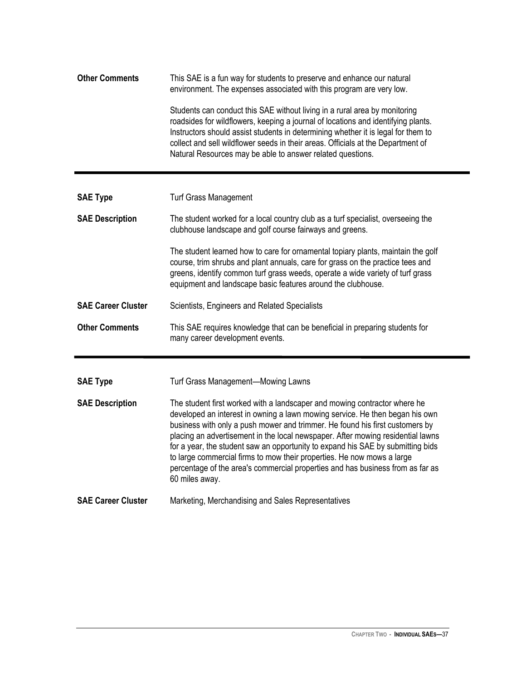| <b>Other Comments</b>     | This SAE is a fun way for students to preserve and enhance our natural<br>environment. The expenses associated with this program are very low.                                                                                                                                                                                                                                                                                                                                                                                                                                                |
|---------------------------|-----------------------------------------------------------------------------------------------------------------------------------------------------------------------------------------------------------------------------------------------------------------------------------------------------------------------------------------------------------------------------------------------------------------------------------------------------------------------------------------------------------------------------------------------------------------------------------------------|
|                           | Students can conduct this SAE without living in a rural area by monitoring<br>roadsides for wildflowers, keeping a journal of locations and identifying plants.<br>Instructors should assist students in determining whether it is legal for them to<br>collect and sell wildflower seeds in their areas. Officials at the Department of<br>Natural Resources may be able to answer related questions.                                                                                                                                                                                        |
| <b>SAE Type</b>           | <b>Turf Grass Management</b>                                                                                                                                                                                                                                                                                                                                                                                                                                                                                                                                                                  |
| <b>SAE Description</b>    | The student worked for a local country club as a turf specialist, overseeing the<br>clubhouse landscape and golf course fairways and greens.                                                                                                                                                                                                                                                                                                                                                                                                                                                  |
|                           | The student learned how to care for ornamental topiary plants, maintain the golf<br>course, trim shrubs and plant annuals, care for grass on the practice tees and<br>greens, identify common turf grass weeds, operate a wide variety of turf grass<br>equipment and landscape basic features around the clubhouse.                                                                                                                                                                                                                                                                          |
| <b>SAE Career Cluster</b> | Scientists, Engineers and Related Specialists                                                                                                                                                                                                                                                                                                                                                                                                                                                                                                                                                 |
| <b>Other Comments</b>     | This SAE requires knowledge that can be beneficial in preparing students for<br>many career development events.                                                                                                                                                                                                                                                                                                                                                                                                                                                                               |
| <b>SAE Type</b>           | Turf Grass Management-Mowing Lawns                                                                                                                                                                                                                                                                                                                                                                                                                                                                                                                                                            |
| <b>SAE Description</b>    | The student first worked with a landscaper and mowing contractor where he<br>developed an interest in owning a lawn mowing service. He then began his own<br>business with only a push mower and trimmer. He found his first customers by<br>placing an advertisement in the local newspaper. After mowing residential lawns<br>for a year, the student saw an opportunity to expand his SAE by submitting bids<br>to large commercial firms to mow their properties. He now mows a large<br>percentage of the area's commercial properties and has business from as far as<br>60 miles away. |
| <b>SAE Career Cluster</b> | Marketing, Merchandising and Sales Representatives                                                                                                                                                                                                                                                                                                                                                                                                                                                                                                                                            |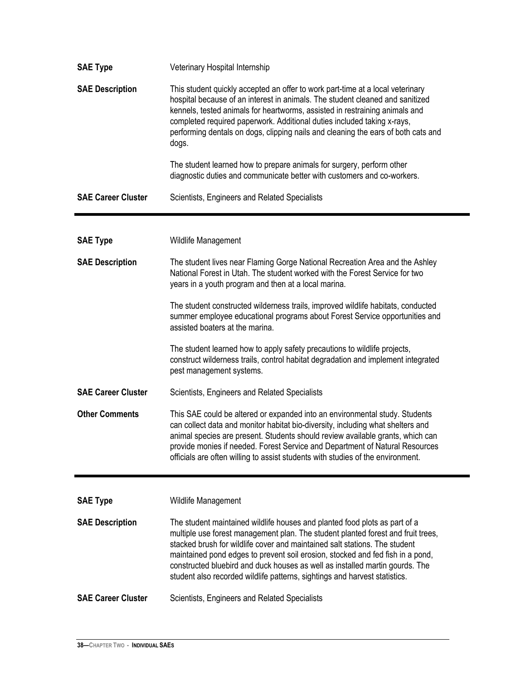| <b>SAE Type</b>           | Veterinary Hospital Internship                                                                                                                                                                                                                                                                                                                                                                                                                                                               |
|---------------------------|----------------------------------------------------------------------------------------------------------------------------------------------------------------------------------------------------------------------------------------------------------------------------------------------------------------------------------------------------------------------------------------------------------------------------------------------------------------------------------------------|
| <b>SAE Description</b>    | This student quickly accepted an offer to work part-time at a local veterinary<br>hospital because of an interest in animals. The student cleaned and sanitized<br>kennels, tested animals for heartworms, assisted in restraining animals and<br>completed required paperwork. Additional duties included taking x-rays,<br>performing dentals on dogs, clipping nails and cleaning the ears of both cats and<br>dogs.                                                                      |
|                           | The student learned how to prepare animals for surgery, perform other<br>diagnostic duties and communicate better with customers and co-workers.                                                                                                                                                                                                                                                                                                                                             |
| <b>SAE Career Cluster</b> | Scientists, Engineers and Related Specialists                                                                                                                                                                                                                                                                                                                                                                                                                                                |
| <b>SAE Type</b>           | Wildlife Management                                                                                                                                                                                                                                                                                                                                                                                                                                                                          |
| <b>SAE Description</b>    | The student lives near Flaming Gorge National Recreation Area and the Ashley<br>National Forest in Utah. The student worked with the Forest Service for two<br>years in a youth program and then at a local marina.                                                                                                                                                                                                                                                                          |
|                           | The student constructed wilderness trails, improved wildlife habitats, conducted<br>summer employee educational programs about Forest Service opportunities and<br>assisted boaters at the marina.                                                                                                                                                                                                                                                                                           |
|                           | The student learned how to apply safety precautions to wildlife projects,<br>construct wilderness trails, control habitat degradation and implement integrated<br>pest management systems.                                                                                                                                                                                                                                                                                                   |
| <b>SAE Career Cluster</b> | Scientists, Engineers and Related Specialists                                                                                                                                                                                                                                                                                                                                                                                                                                                |
| <b>Other Comments</b>     | This SAE could be altered or expanded into an environmental study. Students<br>can collect data and monitor habitat bio-diversity, including what shelters and<br>animal species are present. Students should review available grants, which can<br>provide monies if needed. Forest Service and Department of Natural Resources<br>officials are often willing to assist students with studies of the environment.                                                                          |
| <b>SAE Type</b>           | Wildlife Management                                                                                                                                                                                                                                                                                                                                                                                                                                                                          |
| <b>SAE Description</b>    | The student maintained wildlife houses and planted food plots as part of a<br>multiple use forest management plan. The student planted forest and fruit trees,<br>stacked brush for wildlife cover and maintained salt stations. The student<br>maintained pond edges to prevent soil erosion, stocked and fed fish in a pond,<br>constructed bluebird and duck houses as well as installed martin gourds. The<br>student also recorded wildlife patterns, sightings and harvest statistics. |
| <b>SAE Career Cluster</b> | Scientists, Engineers and Related Specialists                                                                                                                                                                                                                                                                                                                                                                                                                                                |